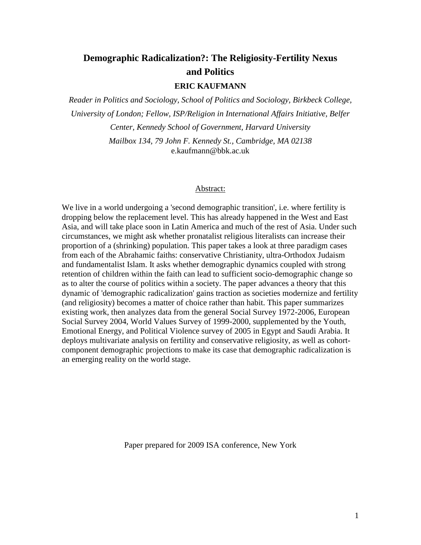# **Demographic Radicalization?: The Religiosity-Fertility Nexus and Politics**

## **ERIC KAUFMANN**

*Reader in Politics and Sociology, School of Politics and Sociology, Birkbeck College, University of London; Fellow, ISP/Religion in International Affairs Initiative, Belfer Center, Kennedy School of Government, Harvard University Mailbox 134, 79 John F. Kennedy St., Cambridge, MA 02138*

e.kaufmann@bbk.ac.uk

#### Abstract:

We live in a world undergoing a 'second demographic transition', i.e. where fertility is dropping below the replacement level. This has already happened in the West and East Asia, and will take place soon in Latin America and much of the rest of Asia. Under such circumstances, we might ask whether pronatalist religious literalists can increase their proportion of a (shrinking) population. This paper takes a look at three paradigm cases from each of the Abrahamic faiths: conservative Christianity, ultra-Orthodox Judaism and fundamentalist Islam. It asks whether demographic dynamics coupled with strong retention of children within the faith can lead to sufficient socio-demographic change so as to alter the course of politics within a society. The paper advances a theory that this dynamic of 'demographic radicalization' gains traction as societies modernize and fertility (and religiosity) becomes a matter of choice rather than habit. This paper summarizes existing work, then analyzes data from the general Social Survey 1972-2006, European Social Survey 2004, World Values Survey of 1999-2000, supplemented by the Youth, Emotional Energy, and Political Violence survey of 2005 in Egypt and Saudi Arabia. It deploys multivariate analysis on fertility and conservative religiosity, as well as cohortcomponent demographic projections to make its case that demographic radicalization is an emerging reality on the world stage.

Paper prepared for 2009 ISA conference, New York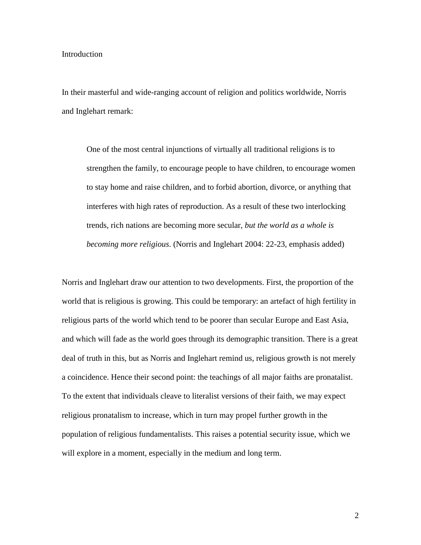#### Introduction

In their masterful and wide-ranging account of religion and politics worldwide, Norris and Inglehart remark:

One of the most central injunctions of virtually all traditional religions is to strengthen the family, to encourage people to have children, to encourage women to stay home and raise children, and to forbid abortion, divorce, or anything that interferes with high rates of reproduction. As a result of these two interlocking trends, rich nations are becoming more secular, *but the world as a whole is becoming more religious*. (Norris and Inglehart 2004: 22-23, emphasis added)

Norris and Inglehart draw our attention to two developments. First, the proportion of the world that is religious is growing. This could be temporary: an artefact of high fertility in religious parts of the world which tend to be poorer than secular Europe and East Asia, and which will fade as the world goes through its demographic transition. There is a great deal of truth in this, but as Norris and Inglehart remind us, religious growth is not merely a coincidence. Hence their second point: the teachings of all major faiths are pronatalist. To the extent that individuals cleave to literalist versions of their faith, we may expect religious pronatalism to increase, which in turn may propel further growth in the population of religious fundamentalists. This raises a potential security issue, which we will explore in a moment, especially in the medium and long term.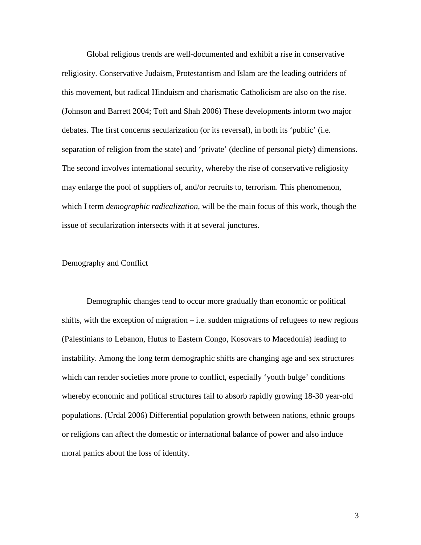Global religious trends are well-documented and exhibit a rise in conservative religiosity. Conservative Judaism, Protestantism and Islam are the leading outriders of this movement, but radical Hinduism and charismatic Catholicism are also on the rise. (Johnson and Barrett 2004; Toft and Shah 2006) These developments inform two major debates. The first concerns secularization (or its reversal), in both its 'public' (i.e. separation of religion from the state) and 'private' (decline of personal piety) dimensions. The second involves international security, whereby the rise of conservative religiosity may enlarge the pool of suppliers of, and/or recruits to, terrorism. This phenomenon, which I term *demographic radicalization*, will be the main focus of this work, though the issue of secularization intersects with it at several junctures.

### Demography and Conflict

 Demographic changes tend to occur more gradually than economic or political shifts, with the exception of migration  $-$  i.e. sudden migrations of refugees to new regions (Palestinians to Lebanon, Hutus to Eastern Congo, Kosovars to Macedonia) leading to instability. Among the long term demographic shifts are changing age and sex structures which can render societies more prone to conflict, especially 'youth bulge' conditions whereby economic and political structures fail to absorb rapidly growing 18-30 year-old populations. (Urdal 2006) Differential population growth between nations, ethnic groups or religions can affect the domestic or international balance of power and also induce moral panics about the loss of identity.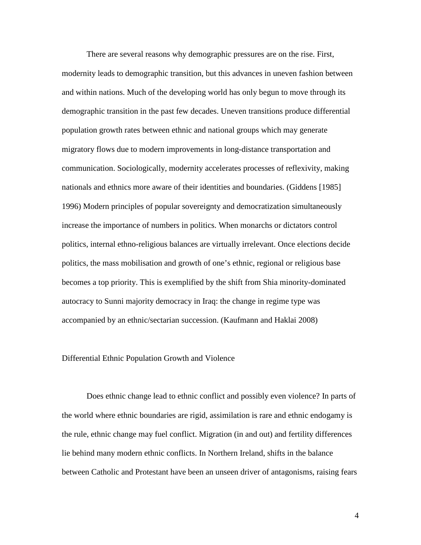There are several reasons why demographic pressures are on the rise. First, modernity leads to demographic transition, but this advances in uneven fashion between and within nations. Much of the developing world has only begun to move through its demographic transition in the past few decades. Uneven transitions produce differential population growth rates between ethnic and national groups which may generate migratory flows due to modern improvements in long-distance transportation and communication. Sociologically, modernity accelerates processes of reflexivity, making nationals and ethnics more aware of their identities and boundaries. (Giddens [1985] 1996) Modern principles of popular sovereignty and democratization simultaneously increase the importance of numbers in politics. When monarchs or dictators control politics, internal ethno-religious balances are virtually irrelevant. Once elections decide politics, the mass mobilisation and growth of one's ethnic, regional or religious base becomes a top priority. This is exemplified by the shift from Shia minority-dominated autocracy to Sunni majority democracy in Iraq: the change in regime type was accompanied by an ethnic/sectarian succession. (Kaufmann and Haklai 2008)

#### Differential Ethnic Population Growth and Violence

Does ethnic change lead to ethnic conflict and possibly even violence? In parts of the world where ethnic boundaries are rigid, assimilation is rare and ethnic endogamy is the rule, ethnic change may fuel conflict. Migration (in and out) and fertility differences lie behind many modern ethnic conflicts. In Northern Ireland, shifts in the balance between Catholic and Protestant have been an unseen driver of antagonisms, raising fears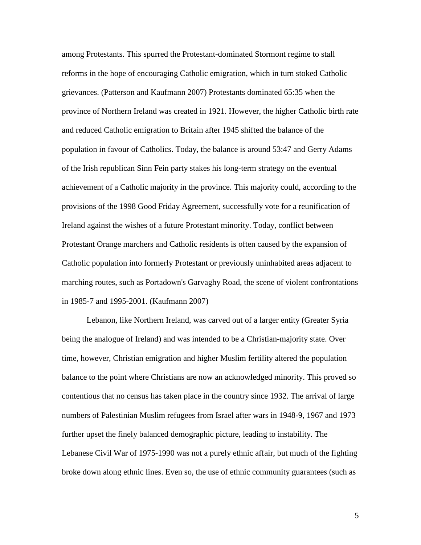among Protestants. This spurred the Protestant-dominated Stormont regime to stall reforms in the hope of encouraging Catholic emigration, which in turn stoked Catholic grievances. (Patterson and Kaufmann 2007) Protestants dominated 65:35 when the province of Northern Ireland was created in 1921. However, the higher Catholic birth rate and reduced Catholic emigration to Britain after 1945 shifted the balance of the population in favour of Catholics. Today, the balance is around 53:47 and Gerry Adams of the Irish republican Sinn Fein party stakes his long-term strategy on the eventual achievement of a Catholic majority in the province. This majority could, according to the provisions of the 1998 Good Friday Agreement, successfully vote for a reunification of Ireland against the wishes of a future Protestant minority. Today, conflict between Protestant Orange marchers and Catholic residents is often caused by the expansion of Catholic population into formerly Protestant or previously uninhabited areas adjacent to marching routes, such as Portadown's Garvaghy Road, the scene of violent confrontations in 1985-7 and 1995-2001. (Kaufmann 2007)

Lebanon, like Northern Ireland, was carved out of a larger entity (Greater Syria being the analogue of Ireland) and was intended to be a Christian-majority state. Over time, however, Christian emigration and higher Muslim fertility altered the population balance to the point where Christians are now an acknowledged minority. This proved so contentious that no census has taken place in the country since 1932. The arrival of large numbers of Palestinian Muslim refugees from Israel after wars in 1948-9, 1967 and 1973 further upset the finely balanced demographic picture, leading to instability. The Lebanese Civil War of 1975-1990 was not a purely ethnic affair, but much of the fighting broke down along ethnic lines. Even so, the use of ethnic community guarantees (such as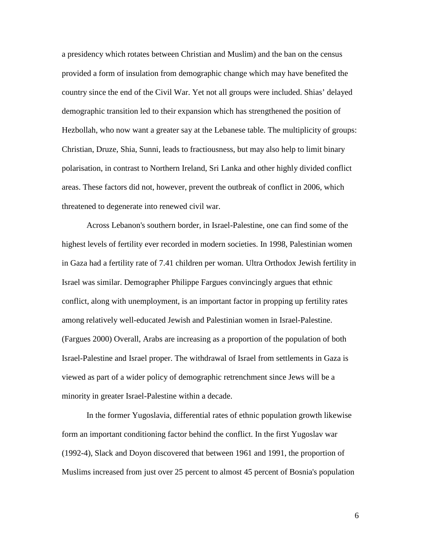a presidency which rotates between Christian and Muslim) and the ban on the census provided a form of insulation from demographic change which may have benefited the country since the end of the Civil War. Yet not all groups were included. Shias' delayed demographic transition led to their expansion which has strengthened the position of Hezbollah, who now want a greater say at the Lebanese table. The multiplicity of groups: Christian, Druze, Shia, Sunni, leads to fractiousness, but may also help to limit binary polarisation, in contrast to Northern Ireland, Sri Lanka and other highly divided conflict areas. These factors did not, however, prevent the outbreak of conflict in 2006, which threatened to degenerate into renewed civil war.

Across Lebanon's southern border, in Israel-Palestine, one can find some of the highest levels of fertility ever recorded in modern societies. In 1998, Palestinian women in Gaza had a fertility rate of 7.41 children per woman. Ultra Orthodox Jewish fertility in Israel was similar. Demographer Philippe Fargues convincingly argues that ethnic conflict, along with unemployment, is an important factor in propping up fertility rates among relatively well-educated Jewish and Palestinian women in Israel-Palestine. (Fargues 2000) Overall, Arabs are increasing as a proportion of the population of both Israel-Palestine and Israel proper. The withdrawal of Israel from settlements in Gaza is viewed as part of a wider policy of demographic retrenchment since Jews will be a minority in greater Israel-Palestine within a decade.

In the former Yugoslavia, differential rates of ethnic population growth likewise form an important conditioning factor behind the conflict. In the first Yugoslav war (1992-4), Slack and Doyon discovered that between 1961 and 1991, the proportion of Muslims increased from just over 25 percent to almost 45 percent of Bosnia's population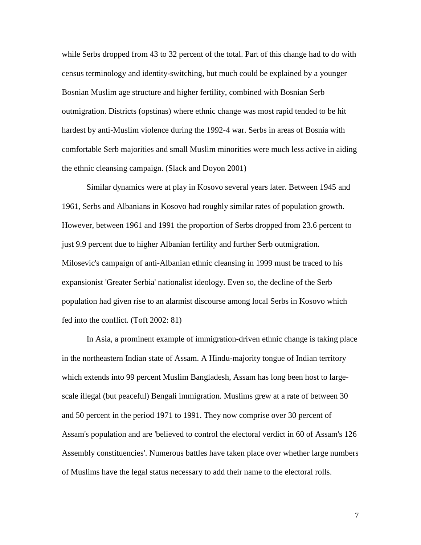while Serbs dropped from 43 to 32 percent of the total. Part of this change had to do with census terminology and identity-switching, but much could be explained by a younger Bosnian Muslim age structure and higher fertility, combined with Bosnian Serb outmigration. Districts (opstinas) where ethnic change was most rapid tended to be hit hardest by anti-Muslim violence during the 1992-4 war. Serbs in areas of Bosnia with comfortable Serb majorities and small Muslim minorities were much less active in aiding the ethnic cleansing campaign. (Slack and Doyon 2001)

Similar dynamics were at play in Kosovo several years later. Between 1945 and 1961, Serbs and Albanians in Kosovo had roughly similar rates of population growth. However, between 1961 and 1991 the proportion of Serbs dropped from 23.6 percent to just 9.9 percent due to higher Albanian fertility and further Serb outmigration. Milosevic's campaign of anti-Albanian ethnic cleansing in 1999 must be traced to his expansionist 'Greater Serbia' nationalist ideology. Even so, the decline of the Serb population had given rise to an alarmist discourse among local Serbs in Kosovo which fed into the conflict. (Toft 2002: 81)

In Asia, a prominent example of immigration-driven ethnic change is taking place in the northeastern Indian state of Assam. A Hindu-majority tongue of Indian territory which extends into 99 percent Muslim Bangladesh, Assam has long been host to largescale illegal (but peaceful) Bengali immigration. Muslims grew at a rate of between 30 and 50 percent in the period 1971 to 1991. They now comprise over 30 percent of Assam's population and are 'believed to control the electoral verdict in 60 of Assam's 126 Assembly constituencies'. Numerous battles have taken place over whether large numbers of Muslims have the legal status necessary to add their name to the electoral rolls.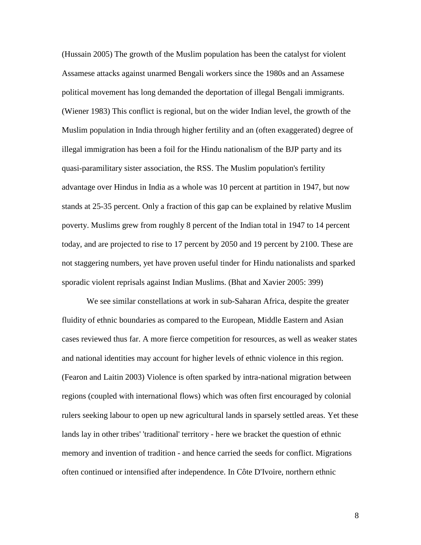(Hussain 2005) The growth of the Muslim population has been the catalyst for violent Assamese attacks against unarmed Bengali workers since the 1980s and an Assamese political movement has long demanded the deportation of illegal Bengali immigrants. (Wiener 1983) This conflict is regional, but on the wider Indian level, the growth of the Muslim population in India through higher fertility and an (often exaggerated) degree of illegal immigration has been a foil for the Hindu nationalism of the BJP party and its quasi-paramilitary sister association, the RSS. The Muslim population's fertility advantage over Hindus in India as a whole was 10 percent at partition in 1947, but now stands at 25-35 percent. Only a fraction of this gap can be explained by relative Muslim poverty. Muslims grew from roughly 8 percent of the Indian total in 1947 to 14 percent today, and are projected to rise to 17 percent by 2050 and 19 percent by 2100. These are not staggering numbers, yet have proven useful tinder for Hindu nationalists and sparked sporadic violent reprisals against Indian Muslims. (Bhat and Xavier 2005: 399)

We see similar constellations at work in sub-Saharan Africa, despite the greater fluidity of ethnic boundaries as compared to the European, Middle Eastern and Asian cases reviewed thus far. A more fierce competition for resources, as well as weaker states and national identities may account for higher levels of ethnic violence in this region. (Fearon and Laitin 2003) Violence is often sparked by intra-national migration between regions (coupled with international flows) which was often first encouraged by colonial rulers seeking labour to open up new agricultural lands in sparsely settled areas. Yet these lands lay in other tribes' 'traditional' territory - here we bracket the question of ethnic memory and invention of tradition - and hence carried the seeds for conflict. Migrations often continued or intensified after independence. In Côte D'Ivoire, northern ethnic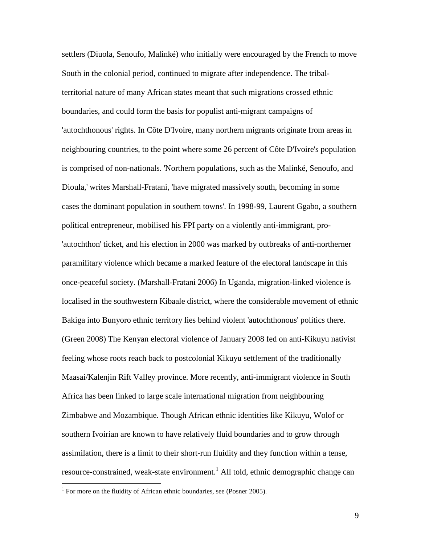settlers (Diuola, Senoufo, Malinké) who initially were encouraged by the French to move South in the colonial period, continued to migrate after independence. The tribalterritorial nature of many African states meant that such migrations crossed ethnic boundaries, and could form the basis for populist anti-migrant campaigns of 'autochthonous' rights. In Côte D'Ivoire, many northern migrants originate from areas in neighbouring countries, to the point where some 26 percent of Côte D'Ivoire's population is comprised of non-nationals. 'Northern populations, such as the Malinké, Senoufo, and Dioula,' writes Marshall-Fratani, 'have migrated massively south, becoming in some cases the dominant population in southern towns'. In 1998-99, Laurent Ggabo, a southern political entrepreneur, mobilised his FPI party on a violently anti-immigrant, pro- 'autochthon' ticket, and his election in 2000 was marked by outbreaks of anti-northerner paramilitary violence which became a marked feature of the electoral landscape in this once-peaceful society. (Marshall-Fratani 2006) In Uganda, migration-linked violence is localised in the southwestern Kibaale district, where the considerable movement of ethnic Bakiga into Bunyoro ethnic territory lies behind violent 'autochthonous' politics there. (Green 2008) The Kenyan electoral violence of January 2008 fed on anti-Kikuyu nativist feeling whose roots reach back to postcolonial Kikuyu settlement of the traditionally Maasai/Kalenjin Rift Valley province. More recently, anti-immigrant violence in South Africa has been linked to large scale international migration from neighbouring Zimbabwe and Mozambique. Though African ethnic identities like Kikuyu, Wolof or southern Ivoirian are known to have relatively fluid boundaries and to grow through assimilation, there is a limit to their short-run fluidity and they function within a tense, resource-constrained, weak-state environment.<sup>1</sup> All told, ethnic demographic change can

 $\overline{a}$ 

<sup>&</sup>lt;sup>1</sup> For more on the fluidity of African ethnic boundaries, see (Posner 2005).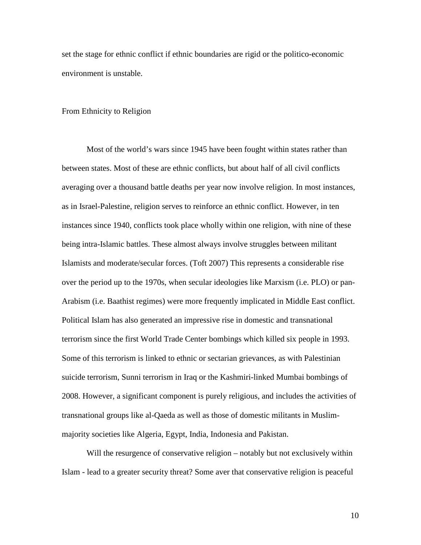set the stage for ethnic conflict if ethnic boundaries are rigid or the politico-economic environment is unstable.

#### From Ethnicity to Religion

 Most of the world's wars since 1945 have been fought within states rather than between states. Most of these are ethnic conflicts, but about half of all civil conflicts averaging over a thousand battle deaths per year now involve religion. In most instances, as in Israel-Palestine, religion serves to reinforce an ethnic conflict. However, in ten instances since 1940, conflicts took place wholly within one religion, with nine of these being intra-Islamic battles. These almost always involve struggles between militant Islamists and moderate/secular forces. (Toft 2007) This represents a considerable rise over the period up to the 1970s, when secular ideologies like Marxism (i.e. PLO) or pan-Arabism (i.e. Baathist regimes) were more frequently implicated in Middle East conflict. Political Islam has also generated an impressive rise in domestic and transnational terrorism since the first World Trade Center bombings which killed six people in 1993. Some of this terrorism is linked to ethnic or sectarian grievances, as with Palestinian suicide terrorism, Sunni terrorism in Iraq or the Kashmiri-linked Mumbai bombings of 2008. However, a significant component is purely religious, and includes the activities of transnational groups like al-Qaeda as well as those of domestic militants in Muslimmajority societies like Algeria, Egypt, India, Indonesia and Pakistan.

Will the resurgence of conservative religion – notably but not exclusively within Islam - lead to a greater security threat? Some aver that conservative religion is peaceful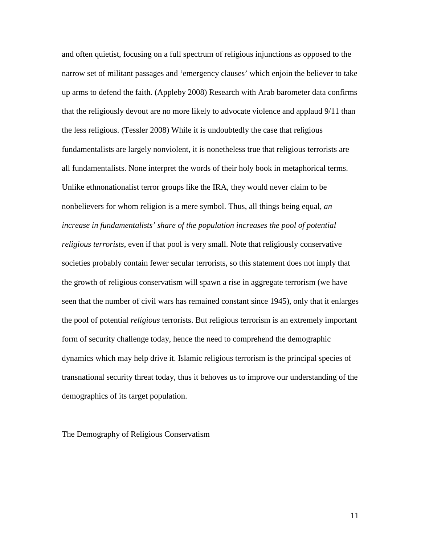and often quietist, focusing on a full spectrum of religious injunctions as opposed to the narrow set of militant passages and 'emergency clauses' which enjoin the believer to take up arms to defend the faith. (Appleby 2008) Research with Arab barometer data confirms that the religiously devout are no more likely to advocate violence and applaud 9/11 than the less religious. (Tessler 2008) While it is undoubtedly the case that religious fundamentalists are largely nonviolent, it is nonetheless true that religious terrorists are all fundamentalists. None interpret the words of their holy book in metaphorical terms. Unlike ethnonationalist terror groups like the IRA, they would never claim to be nonbelievers for whom religion is a mere symbol. Thus, all things being equal, *an increase in fundamentalists' share of the population increases the pool of potential religious terrorists*, even if that pool is very small. Note that religiously conservative societies probably contain fewer secular terrorists, so this statement does not imply that the growth of religious conservatism will spawn a rise in aggregate terrorism (we have seen that the number of civil wars has remained constant since 1945), only that it enlarges the pool of potential *religious* terrorists. But religious terrorism is an extremely important form of security challenge today, hence the need to comprehend the demographic dynamics which may help drive it. Islamic religious terrorism is the principal species of transnational security threat today, thus it behoves us to improve our understanding of the demographics of its target population.

The Demography of Religious Conservatism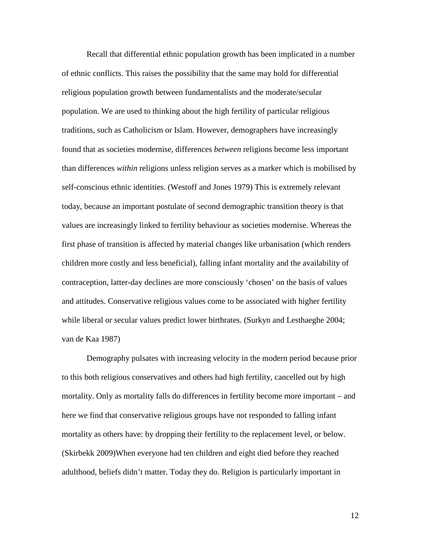Recall that differential ethnic population growth has been implicated in a number of ethnic conflicts. This raises the possibility that the same may hold for differential religious population growth between fundamentalists and the moderate/secular population. We are used to thinking about the high fertility of particular religious traditions, such as Catholicism or Islam. However, demographers have increasingly found that as societies modernise, differences *between* religions become less important than differences *within* religions unless religion serves as a marker which is mobilised by self-conscious ethnic identities. (Westoff and Jones 1979) This is extremely relevant today, because an important postulate of second demographic transition theory is that values are increasingly linked to fertility behaviour as societies modernise. Whereas the first phase of transition is affected by material changes like urbanisation (which renders children more costly and less beneficial), falling infant mortality and the availability of contraception, latter-day declines are more consciously 'chosen' on the basis of values and attitudes. Conservative religious values come to be associated with higher fertility while liberal or secular values predict lower birthrates. (Surkyn and Lesthaeghe 2004; van de Kaa 1987)

Demography pulsates with increasing velocity in the modern period because prior to this both religious conservatives and others had high fertility, cancelled out by high mortality. Only as mortality falls do differences in fertility become more important – and here we find that conservative religious groups have not responded to falling infant mortality as others have: by dropping their fertility to the replacement level, or below. (Skirbekk 2009)When everyone had ten children and eight died before they reached adulthood, beliefs didn't matter. Today they do. Religion is particularly important in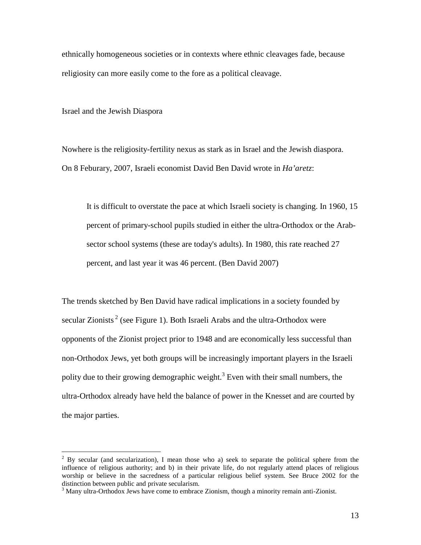ethnically homogeneous societies or in contexts where ethnic cleavages fade, because religiosity can more easily come to the fore as a political cleavage.

Israel and the Jewish Diaspora

Nowhere is the religiosity-fertility nexus as stark as in Israel and the Jewish diaspora. On 8 Feburary, 2007, Israeli economist David Ben David wrote in *Ha'aretz*:

It is difficult to overstate the pace at which Israeli society is changing. In 1960, 15 percent of primary-school pupils studied in either the ultra-Orthodox or the Arabsector school systems (these are today's adults). In 1980, this rate reached 27 percent, and last year it was 46 percent. (Ben David 2007)

The trends sketched by Ben David have radical implications in a society founded by secular Zionists<sup>2</sup> (see Figure 1). Both Israeli Arabs and the ultra-Orthodox were opponents of the Zionist project prior to 1948 and are economically less successful than non-Orthodox Jews, yet both groups will be increasingly important players in the Israeli polity due to their growing demographic weight.<sup>3</sup> Even with their small numbers, the ultra-Orthodox already have held the balance of power in the Knesset and are courted by the major parties.

<sup>&</sup>lt;sup>2</sup> By secular (and secularization), I mean those who a) seek to separate the political sphere from the influence of religious authority; and b) in their private life, do not regularly attend places of religious worship or believe in the sacredness of a particular religious belief system. See Bruce 2002 for the distinction between public and private secularism.

<sup>&</sup>lt;sup>3</sup> Many ultra-Orthodox Jews have come to embrace Zionism, though a minority remain anti-Zionist.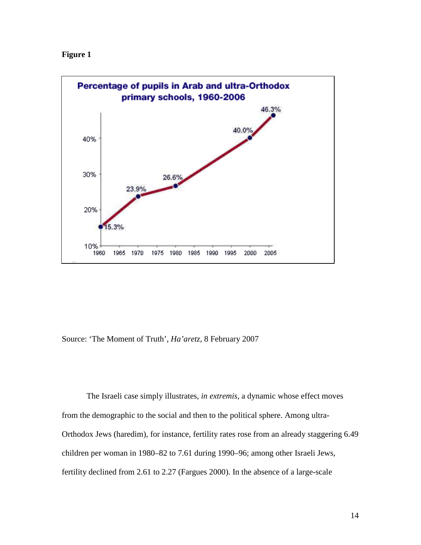



Source: 'The Moment of Truth', *Ha'aretz*, 8 February 2007

The Israeli case simply illustrates, *in extremis*, a dynamic whose effect moves from the demographic to the social and then to the political sphere. Among ultra-Orthodox Jews (haredim), for instance, fertility rates rose from an already staggering 6.49 children per woman in 1980–82 to 7.61 during 1990–96; among other Israeli Jews, fertility declined from 2.61 to 2.27 (Fargues 2000). In the absence of a large-scale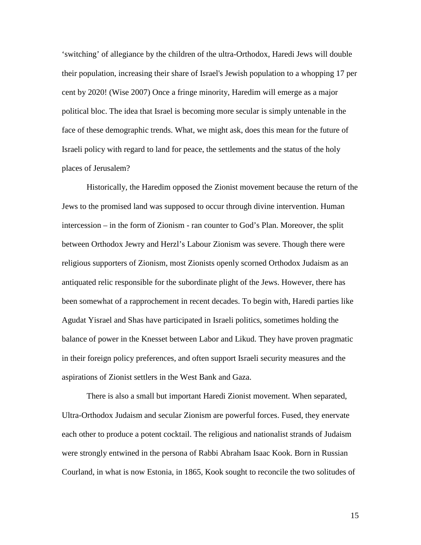'switching' of allegiance by the children of the ultra-Orthodox, Haredi Jews will double their population, increasing their share of Israel's Jewish population to a whopping 17 per cent by 2020! (Wise 2007) Once a fringe minority, Haredim will emerge as a major political bloc. The idea that Israel is becoming more secular is simply untenable in the face of these demographic trends. What, we might ask, does this mean for the future of Israeli policy with regard to land for peace, the settlements and the status of the holy places of Jerusalem?

Historically, the Haredim opposed the Zionist movement because the return of the Jews to the promised land was supposed to occur through divine intervention. Human intercession – in the form of Zionism - ran counter to God's Plan. Moreover, the split between Orthodox Jewry and Herzl's Labour Zionism was severe. Though there were religious supporters of Zionism, most Zionists openly scorned Orthodox Judaism as an antiquated relic responsible for the subordinate plight of the Jews. However, there has been somewhat of a rapprochement in recent decades. To begin with, Haredi parties like Agudat Yisrael and Shas have participated in Israeli politics, sometimes holding the balance of power in the Knesset between Labor and Likud. They have proven pragmatic in their foreign policy preferences, and often support Israeli security measures and the aspirations of Zionist settlers in the West Bank and Gaza.

There is also a small but important Haredi Zionist movement. When separated, Ultra-Orthodox Judaism and secular Zionism are powerful forces. Fused, they enervate each other to produce a potent cocktail. The religious and nationalist strands of Judaism were strongly entwined in the persona of Rabbi Abraham Isaac Kook. Born in Russian Courland, in what is now Estonia, in 1865, Kook sought to reconcile the two solitudes of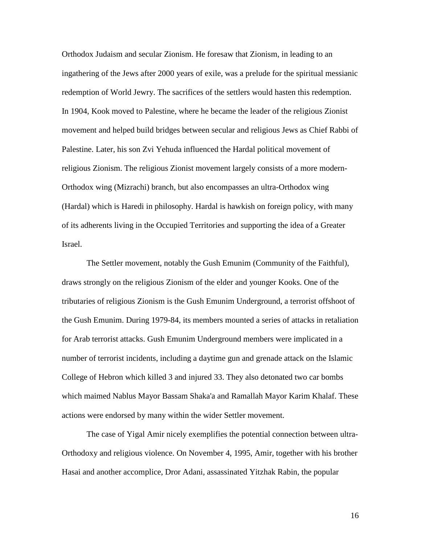Orthodox Judaism and secular Zionism. He foresaw that Zionism, in leading to an ingathering of the Jews after 2000 years of exile, was a prelude for the spiritual messianic redemption of World Jewry. The sacrifices of the settlers would hasten this redemption. In 1904, Kook moved to Palestine, where he became the leader of the religious Zionist movement and helped build bridges between secular and religious Jews as Chief Rabbi of Palestine. Later, his son Zvi Yehuda influenced the Hardal political movement of religious Zionism. The religious Zionist movement largely consists of a more modern-Orthodox wing (Mizrachi) branch, but also encompasses an ultra-Orthodox wing (Hardal) which is Haredi in philosophy. Hardal is hawkish on foreign policy, with many of its adherents living in the Occupied Territories and supporting the idea of a Greater Israel.

The Settler movement, notably the Gush Emunim (Community of the Faithful), draws strongly on the religious Zionism of the elder and younger Kooks. One of the tributaries of religious Zionism is the Gush Emunim Underground, a terrorist offshoot of the Gush Emunim. During 1979-84, its members mounted a series of attacks in retaliation for Arab terrorist attacks. Gush Emunim Underground members were implicated in a number of terrorist incidents, including a daytime gun and grenade attack on the Islamic College of Hebron which killed 3 and injured 33. They also detonated two car bombs which maimed Nablus Mayor Bassam Shaka'a and Ramallah Mayor Karim Khalaf. These actions were endorsed by many within the wider Settler movement.

The case of Yigal Amir nicely exemplifies the potential connection between ultra-Orthodoxy and religious violence. On November 4, 1995, Amir, together with his brother Hasai and another accomplice, Dror Adani, assassinated Yitzhak Rabin, the popular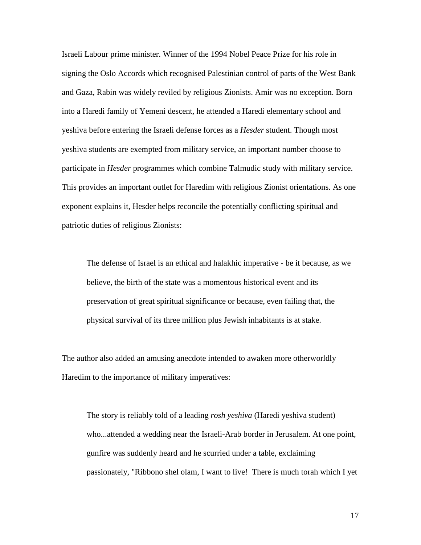Israeli Labour prime minister. Winner of the 1994 Nobel Peace Prize for his role in signing the Oslo Accords which recognised Palestinian control of parts of the West Bank and Gaza, Rabin was widely reviled by religious Zionists. Amir was no exception. Born into a Haredi family of Yemeni descent, he attended a Haredi elementary school and yeshiva before entering the Israeli defense forces as a *Hesder* student. Though most yeshiva students are exempted from military service, an important number choose to participate in *Hesder* programmes which combine Talmudic study with military service. This provides an important outlet for Haredim with religious Zionist orientations. As one exponent explains it, Hesder helps reconcile the potentially conflicting spiritual and patriotic duties of religious Zionists:

The defense of Israel is an ethical and halakhic imperative - be it because, as we believe, the birth of the state was a momentous historical event and its preservation of great spiritual significance or because, even failing that, the physical survival of its three million plus Jewish inhabitants is at stake.

The author also added an amusing anecdote intended to awaken more otherworldly Haredim to the importance of military imperatives:

The story is reliably told of a leading *rosh yeshiva* (Haredi yeshiva student) who...attended a wedding near the Israeli-Arab border in Jerusalem. At one point, gunfire was suddenly heard and he scurried under a table, exclaiming passionately, "Ribbono shel olam, I want to live! There is much torah which I yet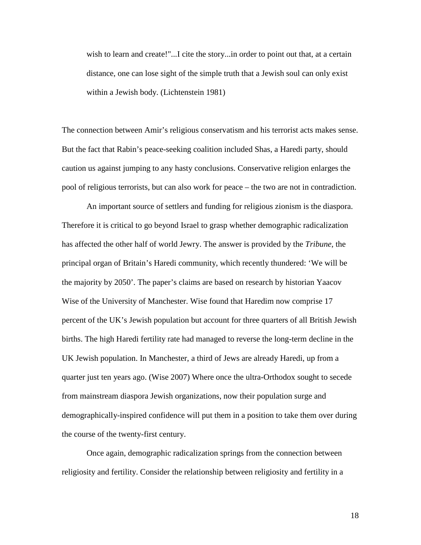wish to learn and create!"...I cite the story...in order to point out that, at a certain distance, one can lose sight of the simple truth that a Jewish soul can only exist within a Jewish body. (Lichtenstein 1981)

The connection between Amir's religious conservatism and his terrorist acts makes sense. But the fact that Rabin's peace-seeking coalition included Shas, a Haredi party, should caution us against jumping to any hasty conclusions. Conservative religion enlarges the pool of religious terrorists, but can also work for peace – the two are not in contradiction.

 An important source of settlers and funding for religious zionism is the diaspora. Therefore it is critical to go beyond Israel to grasp whether demographic radicalization has affected the other half of world Jewry. The answer is provided by the *Tribune*, the principal organ of Britain's Haredi community, which recently thundered: 'We will be the majority by 2050'. The paper's claims are based on research by historian Yaacov Wise of the University of Manchester. Wise found that Haredim now comprise 17 percent of the UK's Jewish population but account for three quarters of all British Jewish births. The high Haredi fertility rate had managed to reverse the long-term decline in the UK Jewish population. In Manchester, a third of Jews are already Haredi, up from a quarter just ten years ago. (Wise 2007) Where once the ultra-Orthodox sought to secede from mainstream diaspora Jewish organizations, now their population surge and demographically-inspired confidence will put them in a position to take them over during the course of the twenty-first century.

Once again, demographic radicalization springs from the connection between religiosity and fertility. Consider the relationship between religiosity and fertility in a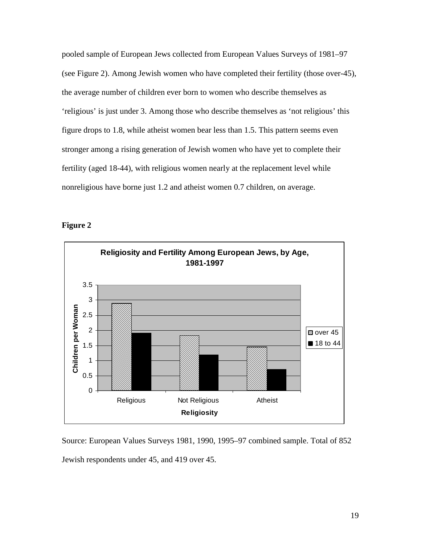pooled sample of European Jews collected from European Values Surveys of 1981–97 (see Figure 2). Among Jewish women who have completed their fertility (those over-45), the average number of children ever born to women who describe themselves as 'religious' is just under 3. Among those who describe themselves as 'not religious' this figure drops to 1.8, while atheist women bear less than 1.5. This pattern seems even stronger among a rising generation of Jewish women who have yet to complete their fertility (aged 18-44), with religious women nearly at the replacement level while nonreligious have borne just 1.2 and atheist women 0.7 children, on average.





Source: European Values Surveys 1981, 1990, 1995–97 combined sample. Total of 852 Jewish respondents under 45, and 419 over 45.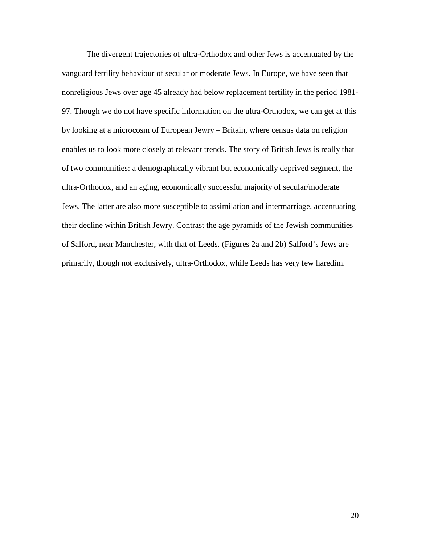The divergent trajectories of ultra-Orthodox and other Jews is accentuated by the vanguard fertility behaviour of secular or moderate Jews. In Europe, we have seen that nonreligious Jews over age 45 already had below replacement fertility in the period 1981- 97. Though we do not have specific information on the ultra-Orthodox, we can get at this by looking at a microcosm of European Jewry – Britain, where census data on religion enables us to look more closely at relevant trends. The story of British Jews is really that of two communities: a demographically vibrant but economically deprived segment, the ultra-Orthodox, and an aging, economically successful majority of secular/moderate Jews. The latter are also more susceptible to assimilation and intermarriage, accentuating their decline within British Jewry. Contrast the age pyramids of the Jewish communities of Salford, near Manchester, with that of Leeds. (Figures 2a and 2b) Salford's Jews are primarily, though not exclusively, ultra-Orthodox, while Leeds has very few haredim.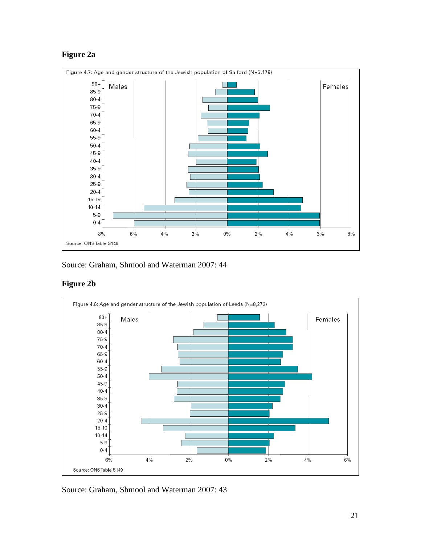# **Figure 2a**



Source: Graham, Shmool and Waterman 2007: 44

# **Figure 2b**



Source: Graham, Shmool and Waterman 2007: 43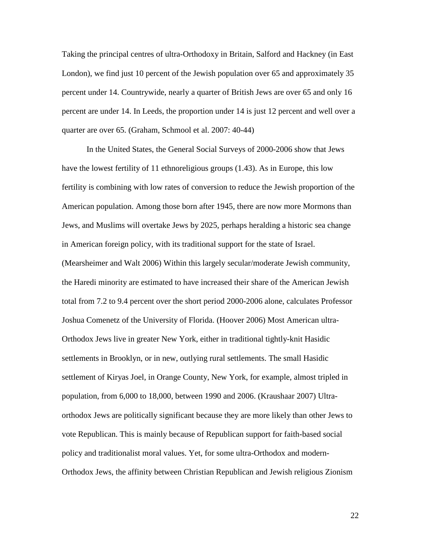Taking the principal centres of ultra-Orthodoxy in Britain, Salford and Hackney (in East London), we find just 10 percent of the Jewish population over 65 and approximately 35 percent under 14. Countrywide, nearly a quarter of British Jews are over 65 and only 16 percent are under 14. In Leeds, the proportion under 14 is just 12 percent and well over a quarter are over 65. (Graham, Schmool et al. 2007: 40-44)

 In the United States, the General Social Surveys of 2000-2006 show that Jews have the lowest fertility of 11 ethnoreligious groups (1.43). As in Europe, this low fertility is combining with low rates of conversion to reduce the Jewish proportion of the American population. Among those born after 1945, there are now more Mormons than Jews, and Muslims will overtake Jews by 2025, perhaps heralding a historic sea change in American foreign policy, with its traditional support for the state of Israel. (Mearsheimer and Walt 2006) Within this largely secular/moderate Jewish community, the Haredi minority are estimated to have increased their share of the American Jewish total from 7.2 to 9.4 percent over the short period 2000-2006 alone, calculates Professor Joshua Comenetz of the University of Florida. (Hoover 2006) Most American ultra-Orthodox Jews live in greater New York, either in traditional tightly-knit Hasidic settlements in Brooklyn, or in new, outlying rural settlements. The small Hasidic settlement of Kiryas Joel, in Orange County, New York, for example, almost tripled in population, from 6,000 to 18,000, between 1990 and 2006. (Kraushaar 2007) Ultraorthodox Jews are politically significant because they are more likely than other Jews to vote Republican. This is mainly because of Republican support for faith-based social policy and traditionalist moral values. Yet, for some ultra-Orthodox and modern-Orthodox Jews, the affinity between Christian Republican and Jewish religious Zionism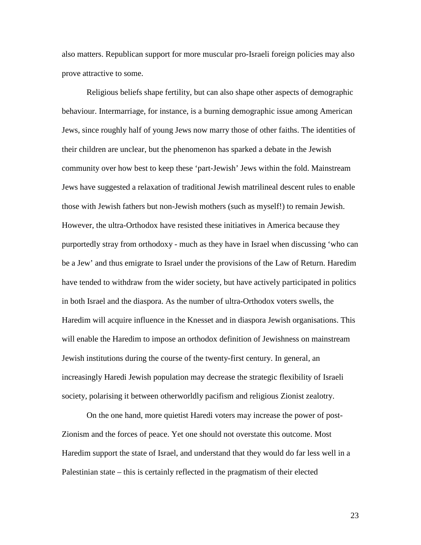also matters. Republican support for more muscular pro-Israeli foreign policies may also prove attractive to some.

Religious beliefs shape fertility, but can also shape other aspects of demographic behaviour. Intermarriage, for instance, is a burning demographic issue among American Jews, since roughly half of young Jews now marry those of other faiths. The identities of their children are unclear, but the phenomenon has sparked a debate in the Jewish community over how best to keep these 'part-Jewish' Jews within the fold. Mainstream Jews have suggested a relaxation of traditional Jewish matrilineal descent rules to enable those with Jewish fathers but non-Jewish mothers (such as myself!) to remain Jewish. However, the ultra-Orthodox have resisted these initiatives in America because they purportedly stray from orthodoxy - much as they have in Israel when discussing 'who can be a Jew' and thus emigrate to Israel under the provisions of the Law of Return. Haredim have tended to withdraw from the wider society, but have actively participated in politics in both Israel and the diaspora. As the number of ultra-Orthodox voters swells, the Haredim will acquire influence in the Knesset and in diaspora Jewish organisations. This will enable the Haredim to impose an orthodox definition of Jewishness on mainstream Jewish institutions during the course of the twenty-first century. In general, an increasingly Haredi Jewish population may decrease the strategic flexibility of Israeli society, polarising it between otherworldly pacifism and religious Zionist zealotry.

On the one hand, more quietist Haredi voters may increase the power of post-Zionism and the forces of peace. Yet one should not overstate this outcome. Most Haredim support the state of Israel, and understand that they would do far less well in a Palestinian state – this is certainly reflected in the pragmatism of their elected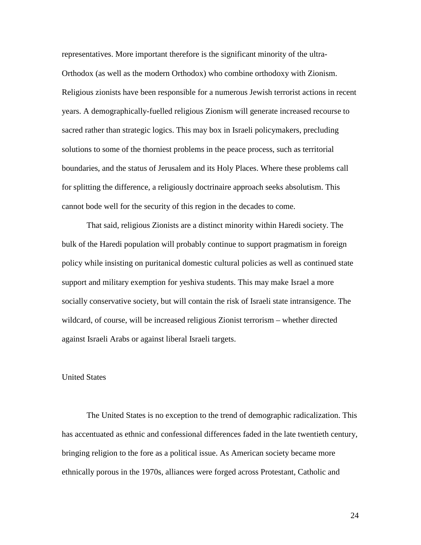representatives. More important therefore is the significant minority of the ultra-Orthodox (as well as the modern Orthodox) who combine orthodoxy with Zionism. Religious zionists have been responsible for a numerous Jewish terrorist actions in recent years. A demographically-fuelled religious Zionism will generate increased recourse to sacred rather than strategic logics. This may box in Israeli policymakers, precluding solutions to some of the thorniest problems in the peace process, such as territorial boundaries, and the status of Jerusalem and its Holy Places. Where these problems call for splitting the difference, a religiously doctrinaire approach seeks absolutism. This cannot bode well for the security of this region in the decades to come.

That said, religious Zionists are a distinct minority within Haredi society. The bulk of the Haredi population will probably continue to support pragmatism in foreign policy while insisting on puritanical domestic cultural policies as well as continued state support and military exemption for yeshiva students. This may make Israel a more socially conservative society, but will contain the risk of Israeli state intransigence. The wildcard, of course, will be increased religious Zionist terrorism – whether directed against Israeli Arabs or against liberal Israeli targets.

#### United States

The United States is no exception to the trend of demographic radicalization. This has accentuated as ethnic and confessional differences faded in the late twentieth century, bringing religion to the fore as a political issue. As American society became more ethnically porous in the 1970s, alliances were forged across Protestant, Catholic and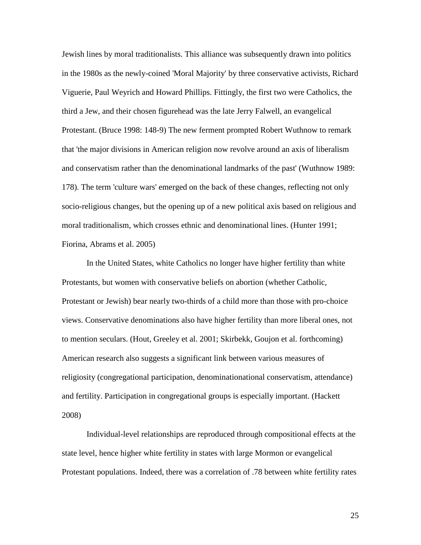Jewish lines by moral traditionalists. This alliance was subsequently drawn into politics in the 1980s as the newly-coined 'Moral Majority' by three conservative activists, Richard Viguerie, Paul Weyrich and Howard Phillips. Fittingly, the first two were Catholics, the third a Jew, and their chosen figurehead was the late Jerry Falwell, an evangelical Protestant. (Bruce 1998: 148-9) The new ferment prompted Robert Wuthnow to remark that 'the major divisions in American religion now revolve around an axis of liberalism and conservatism rather than the denominational landmarks of the past' (Wuthnow 1989: 178). The term 'culture wars' emerged on the back of these changes, reflecting not only socio-religious changes, but the opening up of a new political axis based on religious and moral traditionalism, which crosses ethnic and denominational lines. (Hunter 1991; Fiorina, Abrams et al. 2005)

In the United States, white Catholics no longer have higher fertility than white Protestants, but women with conservative beliefs on abortion (whether Catholic, Protestant or Jewish) bear nearly two-thirds of a child more than those with pro-choice views. Conservative denominations also have higher fertility than more liberal ones, not to mention seculars. (Hout, Greeley et al. 2001; Skirbekk, Goujon et al. forthcoming) American research also suggests a significant link between various measures of religiosity (congregational participation, denominationational conservatism, attendance) and fertility. Participation in congregational groups is especially important. (Hackett 2008)

Individual-level relationships are reproduced through compositional effects at the state level, hence higher white fertility in states with large Mormon or evangelical Protestant populations. Indeed, there was a correlation of .78 between white fertility rates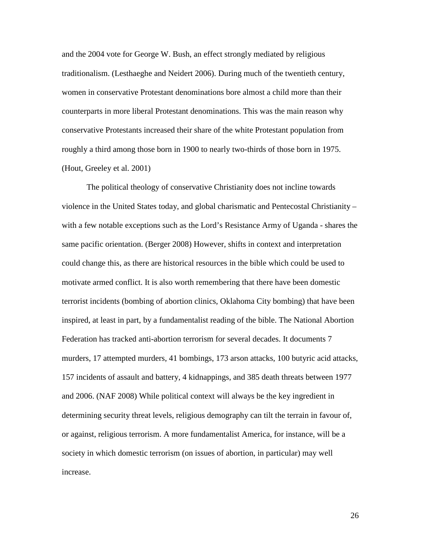and the 2004 vote for George W. Bush, an effect strongly mediated by religious traditionalism. (Lesthaeghe and Neidert 2006). During much of the twentieth century, women in conservative Protestant denominations bore almost a child more than their counterparts in more liberal Protestant denominations. This was the main reason why conservative Protestants increased their share of the white Protestant population from roughly a third among those born in 1900 to nearly two-thirds of those born in 1975. (Hout, Greeley et al. 2001)

The political theology of conservative Christianity does not incline towards violence in the United States today, and global charismatic and Pentecostal Christianity – with a few notable exceptions such as the Lord's Resistance Army of Uganda - shares the same pacific orientation. (Berger 2008) However, shifts in context and interpretation could change this, as there are historical resources in the bible which could be used to motivate armed conflict. It is also worth remembering that there have been domestic terrorist incidents (bombing of abortion clinics, Oklahoma City bombing) that have been inspired, at least in part, by a fundamentalist reading of the bible. The National Abortion Federation has tracked anti-abortion terrorism for several decades. It documents 7 murders, 17 attempted murders, 41 bombings, 173 arson attacks, 100 butyric acid attacks, 157 incidents of assault and battery, 4 kidnappings, and 385 death threats between 1977 and 2006. (NAF 2008) While political context will always be the key ingredient in determining security threat levels, religious demography can tilt the terrain in favour of, or against, religious terrorism. A more fundamentalist America, for instance, will be a society in which domestic terrorism (on issues of abortion, in particular) may well increase.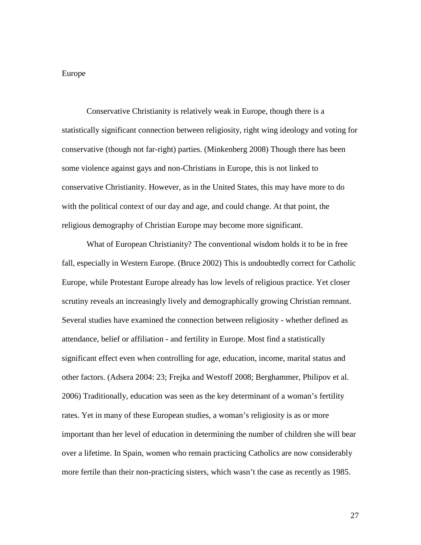### Europe

Conservative Christianity is relatively weak in Europe, though there is a statistically significant connection between religiosity, right wing ideology and voting for conservative (though not far-right) parties. (Minkenberg 2008) Though there has been some violence against gays and non-Christians in Europe, this is not linked to conservative Christianity. However, as in the United States, this may have more to do with the political context of our day and age, and could change. At that point, the religious demography of Christian Europe may become more significant.

What of European Christianity? The conventional wisdom holds it to be in free fall, especially in Western Europe. (Bruce 2002) This is undoubtedly correct for Catholic Europe, while Protestant Europe already has low levels of religious practice. Yet closer scrutiny reveals an increasingly lively and demographically growing Christian remnant. Several studies have examined the connection between religiosity - whether defined as attendance, belief or affiliation - and fertility in Europe. Most find a statistically significant effect even when controlling for age, education, income, marital status and other factors. (Adsera 2004: 23; Frejka and Westoff 2008; Berghammer, Philipov et al. 2006) Traditionally, education was seen as the key determinant of a woman's fertility rates. Yet in many of these European studies, a woman's religiosity is as or more important than her level of education in determining the number of children she will bear over a lifetime. In Spain, women who remain practicing Catholics are now considerably more fertile than their non-practicing sisters, which wasn't the case as recently as 1985.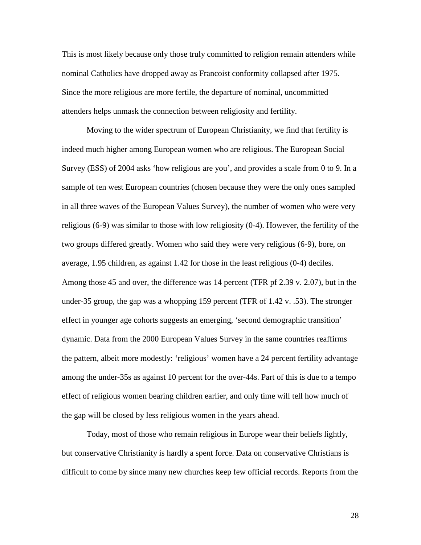This is most likely because only those truly committed to religion remain attenders while nominal Catholics have dropped away as Francoist conformity collapsed after 1975. Since the more religious are more fertile, the departure of nominal, uncommitted attenders helps unmask the connection between religiosity and fertility.

Moving to the wider spectrum of European Christianity, we find that fertility is indeed much higher among European women who are religious. The European Social Survey (ESS) of 2004 asks 'how religious are you', and provides a scale from 0 to 9. In a sample of ten west European countries (chosen because they were the only ones sampled in all three waves of the European Values Survey), the number of women who were very religious (6-9) was similar to those with low religiosity (0-4). However, the fertility of the two groups differed greatly. Women who said they were very religious (6-9), bore, on average, 1.95 children, as against 1.42 for those in the least religious (0-4) deciles. Among those 45 and over, the difference was 14 percent (TFR pf 2.39 v. 2.07), but in the under-35 group, the gap was a whopping 159 percent (TFR of 1.42 v. .53). The stronger effect in younger age cohorts suggests an emerging, 'second demographic transition' dynamic. Data from the 2000 European Values Survey in the same countries reaffirms the pattern, albeit more modestly: 'religious' women have a 24 percent fertility advantage among the under-35s as against 10 percent for the over-44s. Part of this is due to a tempo effect of religious women bearing children earlier, and only time will tell how much of the gap will be closed by less religious women in the years ahead.

Today, most of those who remain religious in Europe wear their beliefs lightly, but conservative Christianity is hardly a spent force. Data on conservative Christians is difficult to come by since many new churches keep few official records. Reports from the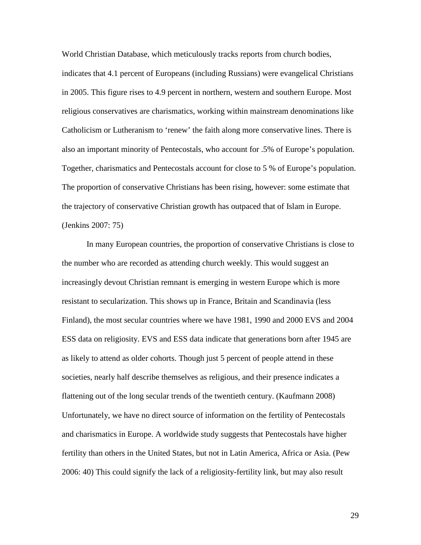World Christian Database, which meticulously tracks reports from church bodies,

indicates that 4.1 percent of Europeans (including Russians) were evangelical Christians in 2005. This figure rises to 4.9 percent in northern, western and southern Europe. Most religious conservatives are charismatics, working within mainstream denominations like Catholicism or Lutheranism to 'renew' the faith along more conservative lines. There is also an important minority of Pentecostals, who account for .5% of Europe's population. Together, charismatics and Pentecostals account for close to 5 % of Europe's population. The proportion of conservative Christians has been rising, however: some estimate that the trajectory of conservative Christian growth has outpaced that of Islam in Europe. (Jenkins 2007: 75)

In many European countries, the proportion of conservative Christians is close to the number who are recorded as attending church weekly. This would suggest an increasingly devout Christian remnant is emerging in western Europe which is more resistant to secularization. This shows up in France, Britain and Scandinavia (less Finland), the most secular countries where we have 1981, 1990 and 2000 EVS and 2004 ESS data on religiosity. EVS and ESS data indicate that generations born after 1945 are as likely to attend as older cohorts. Though just 5 percent of people attend in these societies, nearly half describe themselves as religious, and their presence indicates a flattening out of the long secular trends of the twentieth century. (Kaufmann 2008) Unfortunately, we have no direct source of information on the fertility of Pentecostals and charismatics in Europe. A worldwide study suggests that Pentecostals have higher fertility than others in the United States, but not in Latin America, Africa or Asia. (Pew 2006: 40) This could signify the lack of a religiosity-fertility link, but may also result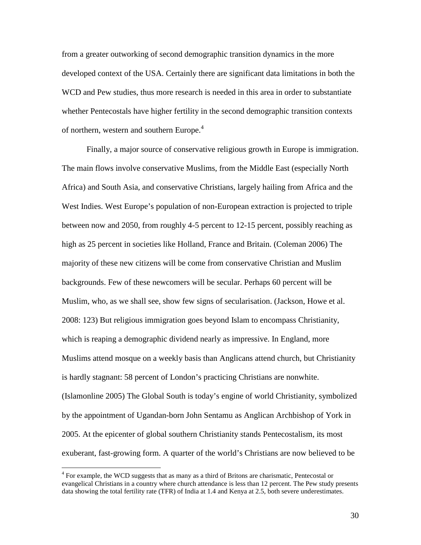from a greater outworking of second demographic transition dynamics in the more developed context of the USA. Certainly there are significant data limitations in both the WCD and Pew studies, thus more research is needed in this area in order to substantiate whether Pentecostals have higher fertility in the second demographic transition contexts of northern, western and southern Europe.<sup>4</sup>

Finally, a major source of conservative religious growth in Europe is immigration. The main flows involve conservative Muslims, from the Middle East (especially North Africa) and South Asia, and conservative Christians, largely hailing from Africa and the West Indies. West Europe's population of non-European extraction is projected to triple between now and 2050, from roughly 4-5 percent to 12-15 percent, possibly reaching as high as 25 percent in societies like Holland, France and Britain. (Coleman 2006) The majority of these new citizens will be come from conservative Christian and Muslim backgrounds. Few of these newcomers will be secular. Perhaps 60 percent will be Muslim, who, as we shall see, show few signs of secularisation. (Jackson, Howe et al. 2008: 123) But religious immigration goes beyond Islam to encompass Christianity, which is reaping a demographic dividend nearly as impressive. In England, more Muslims attend mosque on a weekly basis than Anglicans attend church, but Christianity is hardly stagnant: 58 percent of London's practicing Christians are nonwhite. (Islamonline 2005) The Global South is today's engine of world Christianity, symbolized by the appointment of Ugandan-born John Sentamu as Anglican Archbishop of York in 2005. At the epicenter of global southern Christianity stands Pentecostalism, its most exuberant, fast-growing form. A quarter of the world's Christians are now believed to be

<u>.</u>

<sup>&</sup>lt;sup>4</sup> For example, the WCD suggests that as many as a third of Britons are charismatic, Pentecostal or evangelical Christians in a country where church attendance is less than 12 percent. The Pew study presents data showing the total fertility rate (TFR) of India at 1.4 and Kenya at 2.5, both severe underestimates.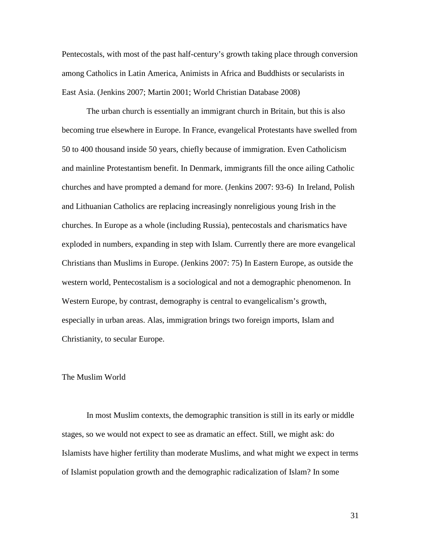Pentecostals, with most of the past half-century's growth taking place through conversion among Catholics in Latin America, Animists in Africa and Buddhists or secularists in East Asia. (Jenkins 2007; Martin 2001; World Christian Database 2008)

The urban church is essentially an immigrant church in Britain, but this is also becoming true elsewhere in Europe. In France, evangelical Protestants have swelled from 50 to 400 thousand inside 50 years, chiefly because of immigration. Even Catholicism and mainline Protestantism benefit. In Denmark, immigrants fill the once ailing Catholic churches and have prompted a demand for more. (Jenkins 2007: 93-6) In Ireland, Polish and Lithuanian Catholics are replacing increasingly nonreligious young Irish in the churches. In Europe as a whole (including Russia), pentecostals and charismatics have exploded in numbers, expanding in step with Islam. Currently there are more evangelical Christians than Muslims in Europe. (Jenkins 2007: 75) In Eastern Europe, as outside the western world, Pentecostalism is a sociological and not a demographic phenomenon. In Western Europe, by contrast, demography is central to evangelicalism's growth, especially in urban areas. Alas, immigration brings two foreign imports, Islam and Christianity, to secular Europe.

#### The Muslim World

In most Muslim contexts, the demographic transition is still in its early or middle stages, so we would not expect to see as dramatic an effect. Still, we might ask: do Islamists have higher fertility than moderate Muslims, and what might we expect in terms of Islamist population growth and the demographic radicalization of Islam? In some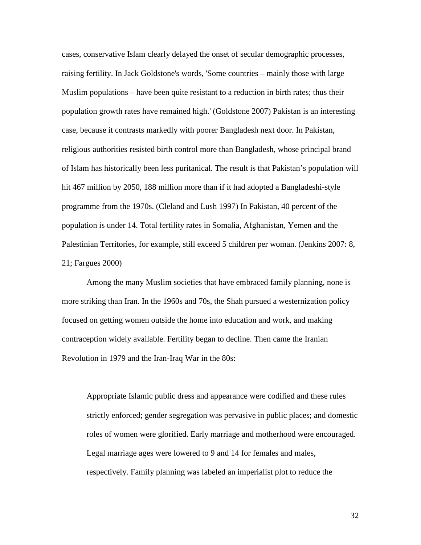cases, conservative Islam clearly delayed the onset of secular demographic processes, raising fertility. In Jack Goldstone's words, 'Some countries – mainly those with large Muslim populations – have been quite resistant to a reduction in birth rates; thus their population growth rates have remained high.' (Goldstone 2007) Pakistan is an interesting case, because it contrasts markedly with poorer Bangladesh next door. In Pakistan, religious authorities resisted birth control more than Bangladesh, whose principal brand of Islam has historically been less puritanical. The result is that Pakistan's population will hit 467 million by 2050, 188 million more than if it had adopted a Bangladeshi-style programme from the 1970s. (Cleland and Lush 1997) In Pakistan, 40 percent of the population is under 14. Total fertility rates in Somalia, Afghanistan, Yemen and the Palestinian Territories, for example, still exceed 5 children per woman. (Jenkins 2007: 8, 21; Fargues 2000)

Among the many Muslim societies that have embraced family planning, none is more striking than Iran. In the 1960s and 70s, the Shah pursued a westernization policy focused on getting women outside the home into education and work, and making contraception widely available. Fertility began to decline. Then came the Iranian Revolution in 1979 and the Iran-Iraq War in the 80s:

Appropriate Islamic public dress and appearance were codified and these rules strictly enforced; gender segregation was pervasive in public places; and domestic roles of women were glorified. Early marriage and motherhood were encouraged. Legal marriage ages were lowered to 9 and 14 for females and males, respectively. Family planning was labeled an imperialist plot to reduce the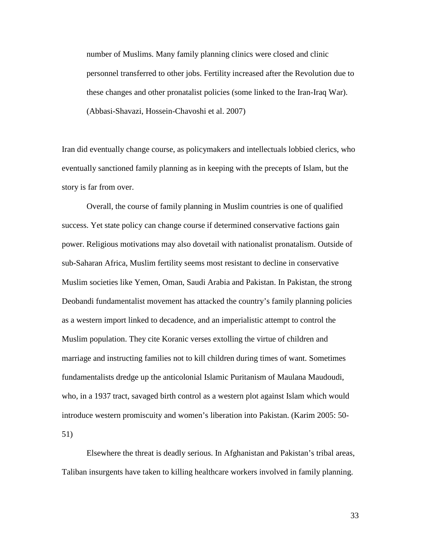number of Muslims. Many family planning clinics were closed and clinic personnel transferred to other jobs. Fertility increased after the Revolution due to these changes and other pronatalist policies (some linked to the Iran-Iraq War). (Abbasi-Shavazi, Hossein-Chavoshi et al. 2007)

Iran did eventually change course, as policymakers and intellectuals lobbied clerics, who eventually sanctioned family planning as in keeping with the precepts of Islam, but the story is far from over.

Overall, the course of family planning in Muslim countries is one of qualified success. Yet state policy can change course if determined conservative factions gain power. Religious motivations may also dovetail with nationalist pronatalism. Outside of sub-Saharan Africa, Muslim fertility seems most resistant to decline in conservative Muslim societies like Yemen, Oman, Saudi Arabia and Pakistan. In Pakistan, the strong Deobandi fundamentalist movement has attacked the country's family planning policies as a western import linked to decadence, and an imperialistic attempt to control the Muslim population. They cite Koranic verses extolling the virtue of children and marriage and instructing families not to kill children during times of want. Sometimes fundamentalists dredge up the anticolonial Islamic Puritanism of Maulana Maudoudi, who, in a 1937 tract, savaged birth control as a western plot against Islam which would introduce western promiscuity and women's liberation into Pakistan. (Karim 2005: 50- 51)

Elsewhere the threat is deadly serious. In Afghanistan and Pakistan's tribal areas, Taliban insurgents have taken to killing healthcare workers involved in family planning.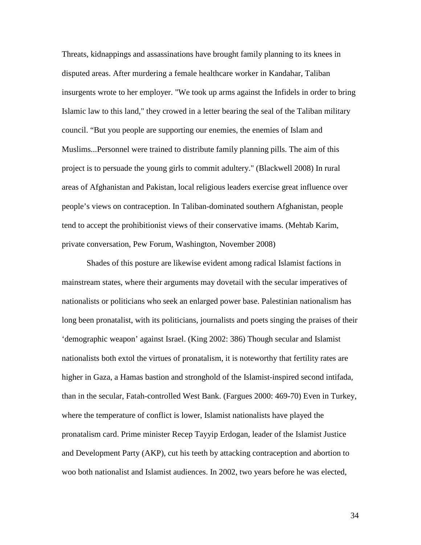Threats, kidnappings and assassinations have brought family planning to its knees in disputed areas. After murdering a female healthcare worker in Kandahar, Taliban insurgents wrote to her employer. "We took up arms against the Infidels in order to bring Islamic law to this land," they crowed in a letter bearing the seal of the Taliban military council. "But you people are supporting our enemies, the enemies of Islam and Muslims...Personnel were trained to distribute family planning pills. The aim of this project is to persuade the young girls to commit adultery." (Blackwell 2008) In rural areas of Afghanistan and Pakistan, local religious leaders exercise great influence over people's views on contraception. In Taliban-dominated southern Afghanistan, people tend to accept the prohibitionist views of their conservative imams. (Mehtab Karim, private conversation, Pew Forum, Washington, November 2008)

Shades of this posture are likewise evident among radical Islamist factions in mainstream states, where their arguments may dovetail with the secular imperatives of nationalists or politicians who seek an enlarged power base. Palestinian nationalism has long been pronatalist, with its politicians, journalists and poets singing the praises of their 'demographic weapon' against Israel. (King 2002: 386) Though secular and Islamist nationalists both extol the virtues of pronatalism, it is noteworthy that fertility rates are higher in Gaza, a Hamas bastion and stronghold of the Islamist-inspired second intifada, than in the secular, Fatah-controlled West Bank. (Fargues 2000: 469-70) Even in Turkey, where the temperature of conflict is lower, Islamist nationalists have played the pronatalism card. Prime minister Recep Tayyip Erdogan, leader of the Islamist Justice and Development Party (AKP), cut his teeth by attacking contraception and abortion to woo both nationalist and Islamist audiences. In 2002, two years before he was elected,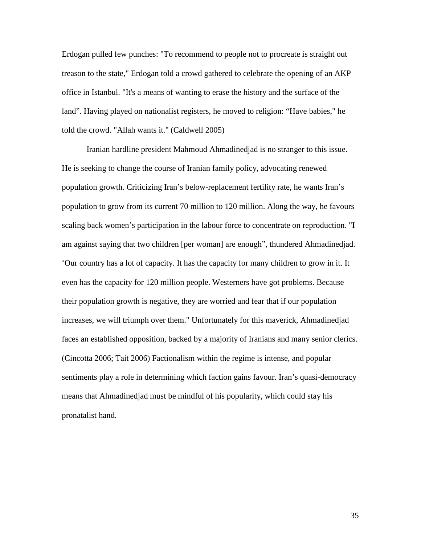Erdogan pulled few punches: "To recommend to people not to procreate is straight out treason to the state," Erdogan told a crowd gathered to celebrate the opening of an AKP office in Istanbul. "It's a means of wanting to erase the history and the surface of the land". Having played on nationalist registers, he moved to religion: "Have babies," he told the crowd. "Allah wants it." (Caldwell 2005)

Iranian hardline president Mahmoud Ahmadinedjad is no stranger to this issue. He is seeking to change the course of Iranian family policy, advocating renewed population growth. Criticizing Iran's below-replacement fertility rate, he wants Iran's population to grow from its current 70 million to 120 million. Along the way, he favours scaling back women's participation in the labour force to concentrate on reproduction. "I am against saying that two children [per woman] are enough", thundered Ahmadinedjad. 'Our country has a lot of capacity. It has the capacity for many children to grow in it. It even has the capacity for 120 million people. Westerners have got problems. Because their population growth is negative, they are worried and fear that if our population increases, we will triumph over them." Unfortunately for this maverick, Ahmadinedjad faces an established opposition, backed by a majority of Iranians and many senior clerics. (Cincotta 2006; Tait 2006) Factionalism within the regime is intense, and popular sentiments play a role in determining which faction gains favour. Iran's quasi-democracy means that Ahmadinedjad must be mindful of his popularity, which could stay his pronatalist hand.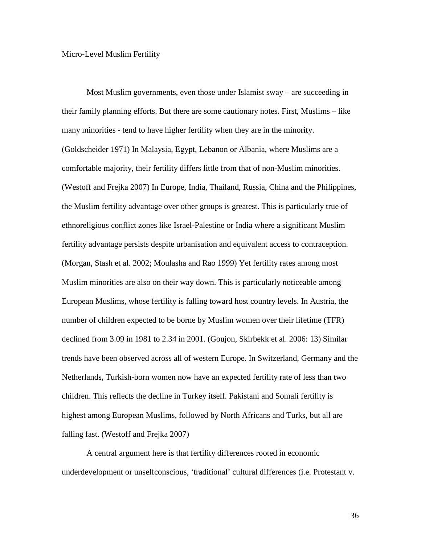#### Micro-Level Muslim Fertility

Most Muslim governments, even those under Islamist sway – are succeeding in their family planning efforts. But there are some cautionary notes. First, Muslims – like many minorities - tend to have higher fertility when they are in the minority. (Goldscheider 1971) In Malaysia, Egypt, Lebanon or Albania, where Muslims are a comfortable majority, their fertility differs little from that of non-Muslim minorities. (Westoff and Frejka 2007) In Europe, India, Thailand, Russia, China and the Philippines, the Muslim fertility advantage over other groups is greatest. This is particularly true of ethnoreligious conflict zones like Israel-Palestine or India where a significant Muslim fertility advantage persists despite urbanisation and equivalent access to contraception. (Morgan, Stash et al. 2002; Moulasha and Rao 1999) Yet fertility rates among most Muslim minorities are also on their way down. This is particularly noticeable among European Muslims, whose fertility is falling toward host country levels. In Austria, the number of children expected to be borne by Muslim women over their lifetime (TFR) declined from 3.09 in 1981 to 2.34 in 2001. (Goujon, Skirbekk et al. 2006: 13) Similar trends have been observed across all of western Europe. In Switzerland, Germany and the Netherlands, Turkish-born women now have an expected fertility rate of less than two children. This reflects the decline in Turkey itself. Pakistani and Somali fertility is highest among European Muslims, followed by North Africans and Turks, but all are falling fast. (Westoff and Frejka 2007)

A central argument here is that fertility differences rooted in economic underdevelopment or unselfconscious, 'traditional' cultural differences (i.e. Protestant v.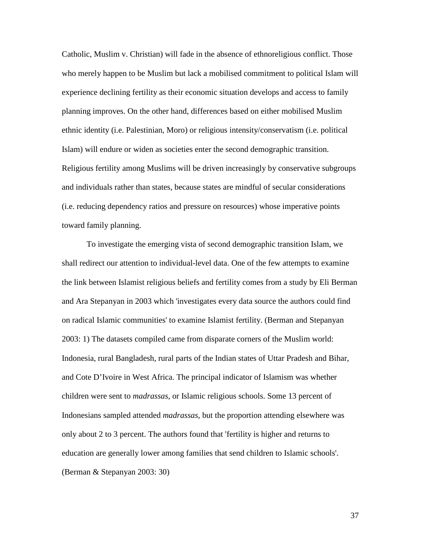Catholic, Muslim v. Christian) will fade in the absence of ethnoreligious conflict. Those who merely happen to be Muslim but lack a mobilised commitment to political Islam will experience declining fertility as their economic situation develops and access to family planning improves. On the other hand, differences based on either mobilised Muslim ethnic identity (i.e. Palestinian, Moro) or religious intensity/conservatism (i.e. political Islam) will endure or widen as societies enter the second demographic transition. Religious fertility among Muslims will be driven increasingly by conservative subgroups and individuals rather than states, because states are mindful of secular considerations (i.e. reducing dependency ratios and pressure on resources) whose imperative points toward family planning.

To investigate the emerging vista of second demographic transition Islam, we shall redirect our attention to individual-level data. One of the few attempts to examine the link between Islamist religious beliefs and fertility comes from a study by Eli Berman and Ara Stepanyan in 2003 which 'investigates every data source the authors could find on radical Islamic communities' to examine Islamist fertility. (Berman and Stepanyan 2003: 1) The datasets compiled came from disparate corners of the Muslim world: Indonesia, rural Bangladesh, rural parts of the Indian states of Uttar Pradesh and Bihar, and Cote D'Ivoire in West Africa. The principal indicator of Islamism was whether children were sent to *madrassas*, or Islamic religious schools. Some 13 percent of Indonesians sampled attended *madrassas*, but the proportion attending elsewhere was only about 2 to 3 percent. The authors found that 'fertility is higher and returns to education are generally lower among families that send children to Islamic schools'. (Berman & Stepanyan 2003: 30)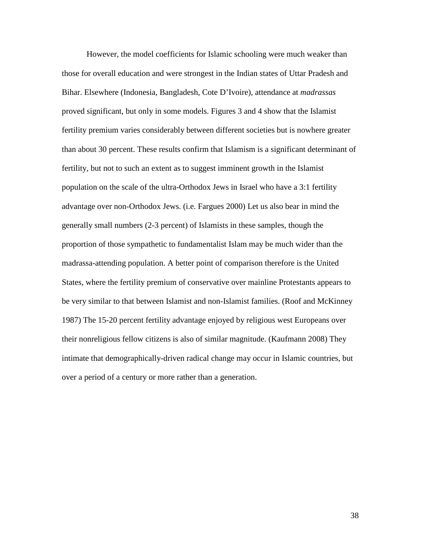However, the model coefficients for Islamic schooling were much weaker than those for overall education and were strongest in the Indian states of Uttar Pradesh and Bihar. Elsewhere (Indonesia, Bangladesh, Cote D'Ivoire), attendance at *madrassas* proved significant, but only in some models. Figures 3 and 4 show that the Islamist fertility premium varies considerably between different societies but is nowhere greater than about 30 percent. These results confirm that Islamism is a significant determinant of fertility, but not to such an extent as to suggest imminent growth in the Islamist population on the scale of the ultra-Orthodox Jews in Israel who have a 3:1 fertility advantage over non-Orthodox Jews. (i.e. Fargues 2000) Let us also bear in mind the generally small numbers (2-3 percent) of Islamists in these samples, though the proportion of those sympathetic to fundamentalist Islam may be much wider than the madrassa-attending population. A better point of comparison therefore is the United States, where the fertility premium of conservative over mainline Protestants appears to be very similar to that between Islamist and non-Islamist families. (Roof and McKinney 1987) The 15-20 percent fertility advantage enjoyed by religious west Europeans over their nonreligious fellow citizens is also of similar magnitude. (Kaufmann 2008) They intimate that demographically-driven radical change may occur in Islamic countries, but over a period of a century or more rather than a generation.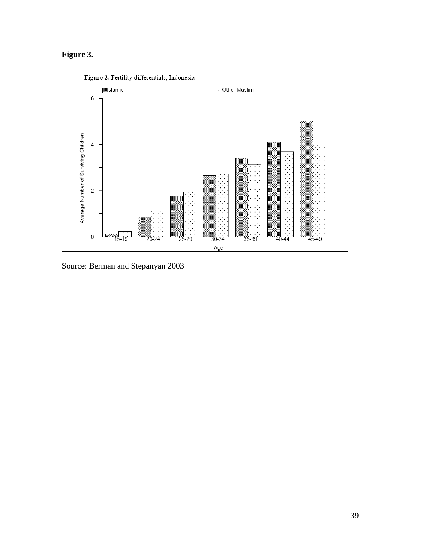# **Figure 3.**



Source: Berman and Stepanyan 2003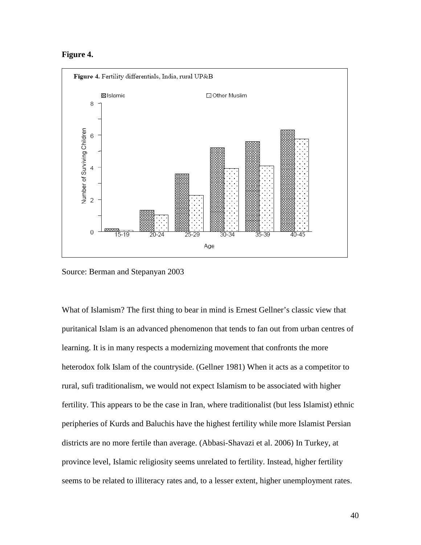#### **Figure 4.**



Source: Berman and Stepanyan 2003

What of Islamism? The first thing to bear in mind is Ernest Gellner's classic view that puritanical Islam is an advanced phenomenon that tends to fan out from urban centres of learning. It is in many respects a modernizing movement that confronts the more heterodox folk Islam of the countryside. (Gellner 1981) When it acts as a competitor to rural, sufi traditionalism, we would not expect Islamism to be associated with higher fertility. This appears to be the case in Iran, where traditionalist (but less Islamist) ethnic peripheries of Kurds and Baluchis have the highest fertility while more Islamist Persian districts are no more fertile than average. (Abbasi-Shavazi et al. 2006) In Turkey, at province level, Islamic religiosity seems unrelated to fertility. Instead, higher fertility seems to be related to illiteracy rates and, to a lesser extent, higher unemployment rates.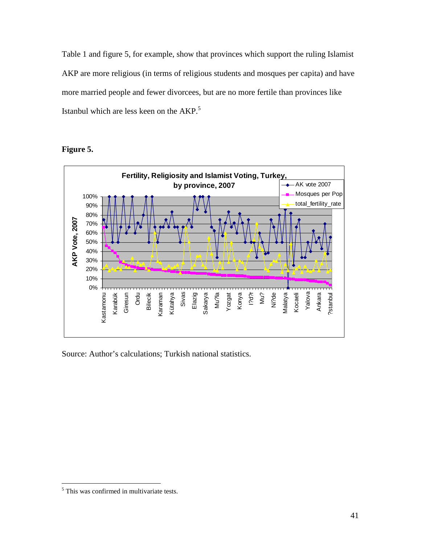Table 1 and figure 5, for example, show that provinces which support the ruling Islamist AKP are more religious (in terms of religious students and mosques per capita) and have more married people and fewer divorcees, but are no more fertile than provinces like Istanbul which are less keen on the AKP.<sup>5</sup>

# **Figure 5.**



Source: Author's calculations; Turkish national statistics.

 $\overline{a}$ 

<sup>&</sup>lt;sup>5</sup> This was confirmed in multivariate tests.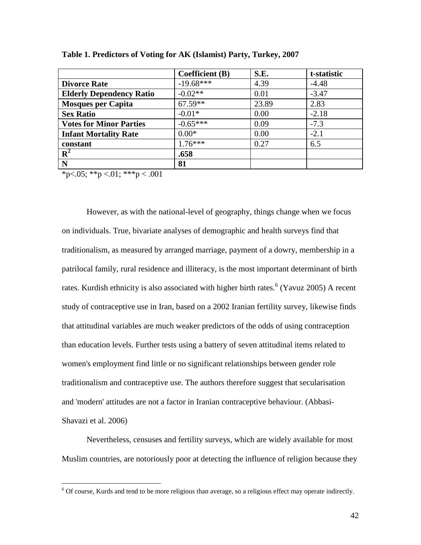|                                 | <b>Coefficient</b> (B) | S.E.  | t-statistic |
|---------------------------------|------------------------|-------|-------------|
| <b>Divorce Rate</b>             | $-19.68***$            | 4.39  | $-4.48$     |
| <b>Elderly Dependency Ratio</b> | $-0.02**$              | 0.01  | $-3.47$     |
| <b>Mosques per Capita</b>       | $67.59**$              | 23.89 | 2.83        |
| <b>Sex Ratio</b>                | $-0.01*$               | 0.00  | $-2.18$     |
| <b>Votes for Minor Parties</b>  | $-0.65***$             | 0.09  | $-7.3$      |
| <b>Infant Mortality Rate</b>    | $0.00*$                | 0.00  | $-2.1$      |
| constant                        | $1.76***$              | 0.27  | 6.5         |
| ${\bf R}^2$                     | .658                   |       |             |
| N                               | 81                     |       |             |

**Table 1. Predictors of Voting for AK (Islamist) Party, Turkey, 2007** 

\*p<.05; \*\*p <.01; \*\*\*p < .001

 $\overline{a}$ 

However, as with the national-level of geography, things change when we focus on individuals. True, bivariate analyses of demographic and health surveys find that traditionalism, as measured by arranged marriage, payment of a dowry, membership in a patrilocal family, rural residence and illiteracy, is the most important determinant of birth rates. Kurdish ethnicity is also associated with higher birth rates.  $6$  (Yavuz 2005) A recent study of contraceptive use in Iran, based on a 2002 Iranian fertility survey, likewise finds that attitudinal variables are much weaker predictors of the odds of using contraception than education levels. Further tests using a battery of seven attitudinal items related to women's employment find little or no significant relationships between gender role traditionalism and contraceptive use. The authors therefore suggest that secularisation and 'modern' attitudes are not a factor in Iranian contraceptive behaviour. (Abbasi-Shavazi et al. 2006)

Nevertheless, censuses and fertility surveys, which are widely available for most Muslim countries, are notoriously poor at detecting the influence of religion because they

<sup>&</sup>lt;sup>6</sup> Of course, Kurds and tend to be more religious than average, so a religious effect may operate indirectly.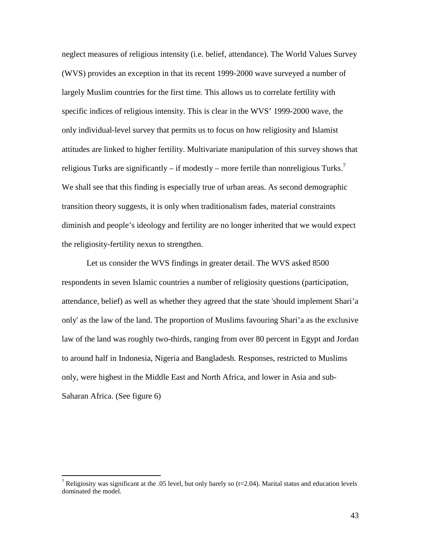neglect measures of religious intensity (i.e. belief, attendance). The World Values Survey (WVS) provides an exception in that its recent 1999-2000 wave surveyed a number of largely Muslim countries for the first time. This allows us to correlate fertility with specific indices of religious intensity. This is clear in the WVS' 1999-2000 wave, the only individual-level survey that permits us to focus on how religiosity and Islamist attitudes are linked to higher fertility. Multivariate manipulation of this survey shows that religious Turks are significantly – if modestly – more fertile than nonreligious Turks.<sup>7</sup> We shall see that this finding is especially true of urban areas. As second demographic transition theory suggests, it is only when traditionalism fades, material constraints diminish and people's ideology and fertility are no longer inherited that we would expect the religiosity-fertility nexus to strengthen.

Let us consider the WVS findings in greater detail. The WVS asked 8500 respondents in seven Islamic countries a number of religiosity questions (participation, attendance, belief) as well as whether they agreed that the state 'should implement Shari'a only' as the law of the land. The proportion of Muslims favouring Shari'a as the exclusive law of the land was roughly two-thirds, ranging from over 80 percent in Egypt and Jordan to around half in Indonesia, Nigeria and Bangladesh. Responses, restricted to Muslims only, were highest in the Middle East and North Africa, and lower in Asia and sub-Saharan Africa. (See figure 6)

The ligiosity was significant at the .05 level, but only barely so (t=2.04). Marital status and education levels dominated the model.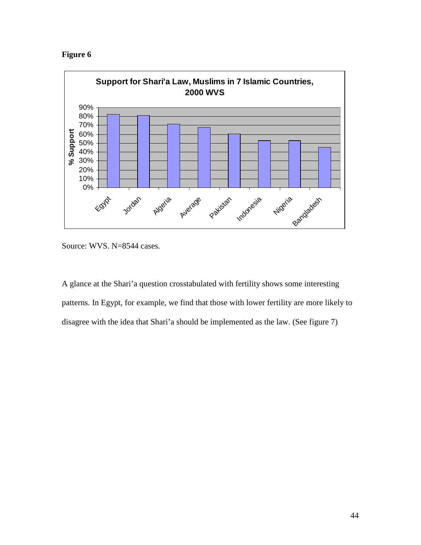**Figure 6** 



Source: WVS. N=8544 cases.

A glance at the Shari'a question crosstabulated with fertility shows some interesting patterns. In Egypt, for example, we find that those with lower fertility are more likely to disagree with the idea that Shari'a should be implemented as the law. (See figure 7)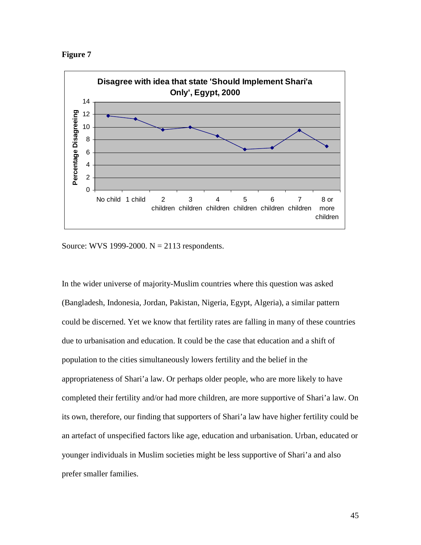**Figure 7** 



Source: WVS 1999-2000.  $N = 2113$  respondents.

In the wider universe of majority-Muslim countries where this question was asked (Bangladesh, Indonesia, Jordan, Pakistan, Nigeria, Egypt, Algeria), a similar pattern could be discerned. Yet we know that fertility rates are falling in many of these countries due to urbanisation and education. It could be the case that education and a shift of population to the cities simultaneously lowers fertility and the belief in the appropriateness of Shari'a law. Or perhaps older people, who are more likely to have completed their fertility and/or had more children, are more supportive of Shari'a law. On its own, therefore, our finding that supporters of Shari'a law have higher fertility could be an artefact of unspecified factors like age, education and urbanisation. Urban, educated or younger individuals in Muslim societies might be less supportive of Shari'a and also prefer smaller families.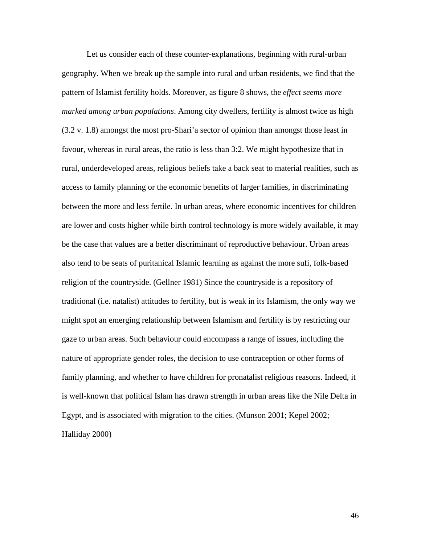Let us consider each of these counter-explanations, beginning with rural-urban geography. When we break up the sample into rural and urban residents, we find that the pattern of Islamist fertility holds. Moreover, as figure 8 shows, the *effect seems more marked among urban populations*. Among city dwellers, fertility is almost twice as high (3.2 v. 1.8) amongst the most pro-Shari'a sector of opinion than amongst those least in favour, whereas in rural areas, the ratio is less than 3:2. We might hypothesize that in rural, underdeveloped areas, religious beliefs take a back seat to material realities, such as access to family planning or the economic benefits of larger families, in discriminating between the more and less fertile. In urban areas, where economic incentives for children are lower and costs higher while birth control technology is more widely available, it may be the case that values are a better discriminant of reproductive behaviour. Urban areas also tend to be seats of puritanical Islamic learning as against the more sufi, folk-based religion of the countryside. (Gellner 1981) Since the countryside is a repository of traditional (i.e. natalist) attitudes to fertility, but is weak in its Islamism, the only way we might spot an emerging relationship between Islamism and fertility is by restricting our gaze to urban areas. Such behaviour could encompass a range of issues, including the nature of appropriate gender roles, the decision to use contraception or other forms of family planning, and whether to have children for pronatalist religious reasons. Indeed, it is well-known that political Islam has drawn strength in urban areas like the Nile Delta in Egypt, and is associated with migration to the cities. (Munson 2001; Kepel 2002; Halliday 2000)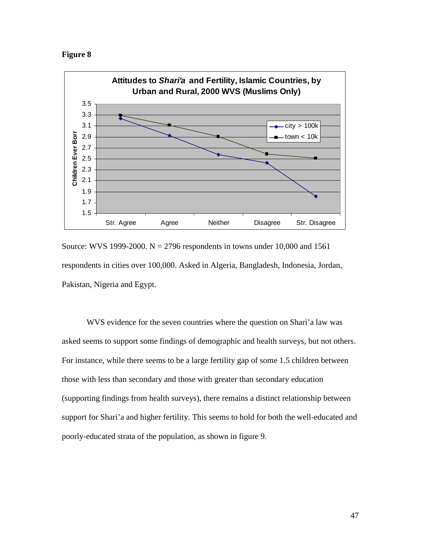



Source: WVS 1999-2000.  $N = 2796$  respondents in towns under 10,000 and 1561 respondents in cities over 100,000. Asked in Algeria, Bangladesh, Indonesia, Jordan, Pakistan, Nigeria and Egypt.

WVS evidence for the seven countries where the question on Shari'a law was asked seems to support some findings of demographic and health surveys, but not others. For instance, while there seems to be a large fertility gap of some 1.5 children between those with less than secondary and those with greater than secondary education (supporting findings from health surveys), there remains a distinct relationship between support for Shari'a and higher fertility. This seems to hold for both the well-educated and poorly-educated strata of the population, as shown in figure 9.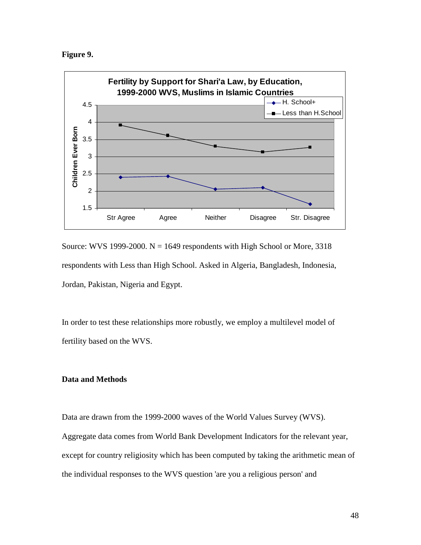**Figure 9.** 



Source: WVS 1999-2000.  $N = 1649$  respondents with High School or More, 3318 respondents with Less than High School. Asked in Algeria, Bangladesh, Indonesia, Jordan, Pakistan, Nigeria and Egypt.

In order to test these relationships more robustly, we employ a multilevel model of fertility based on the WVS.

## **Data and Methods**

Data are drawn from the 1999-2000 waves of the World Values Survey (WVS). Aggregate data comes from World Bank Development Indicators for the relevant year, except for country religiosity which has been computed by taking the arithmetic mean of the individual responses to the WVS question 'are you a religious person' and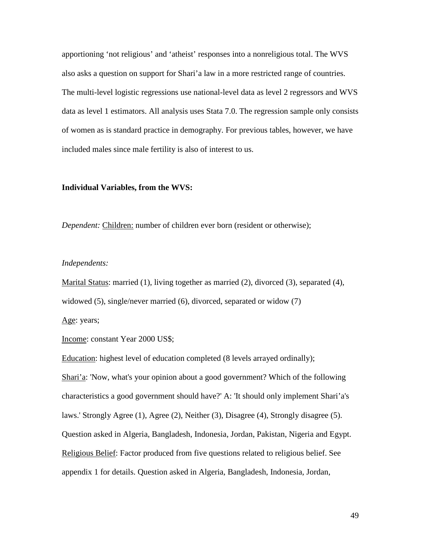apportioning 'not religious' and 'atheist' responses into a nonreligious total. The WVS also asks a question on support for Shari'a law in a more restricted range of countries. The multi-level logistic regressions use national-level data as level 2 regressors and WVS data as level 1 estimators. All analysis uses Stata 7.0. The regression sample only consists of women as is standard practice in demography. For previous tables, however, we have included males since male fertility is also of interest to us.

#### **Individual Variables, from the WVS:**

*Dependent:* Children: number of children ever born (resident or otherwise);

#### *Independents:*

Marital Status: married (1), living together as married (2), divorced (3), separated (4), widowed (5), single/never married (6), divorced, separated or widow (7) Age: years;

Income: constant Year 2000 US\$;

Education: highest level of education completed (8 levels arrayed ordinally); Shari'a: 'Now, what's your opinion about a good government? Which of the following characteristics a good government should have?' A: 'It should only implement Shari'a's laws.' Strongly Agree (1), Agree (2), Neither (3), Disagree (4), Strongly disagree (5). Question asked in Algeria, Bangladesh, Indonesia, Jordan, Pakistan, Nigeria and Egypt. Religious Belief: Factor produced from five questions related to religious belief. See appendix 1 for details. Question asked in Algeria, Bangladesh, Indonesia, Jordan,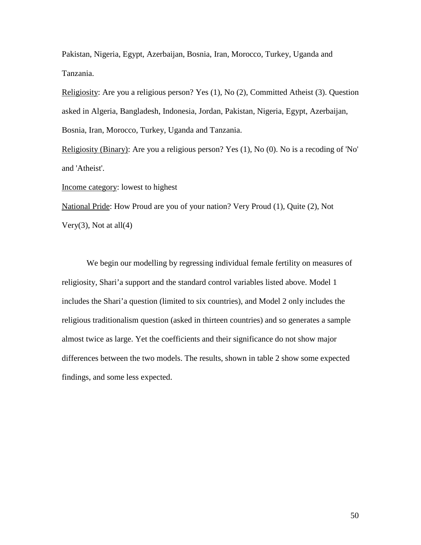Pakistan, Nigeria, Egypt, Azerbaijan, Bosnia, Iran, Morocco, Turkey, Uganda and Tanzania.

Religiosity: Are you a religious person? Yes (1), No (2), Committed Atheist (3). Question asked in Algeria, Bangladesh, Indonesia, Jordan, Pakistan, Nigeria, Egypt, Azerbaijan, Bosnia, Iran, Morocco, Turkey, Uganda and Tanzania.

Religiosity (Binary): Are you a religious person? Yes (1), No (0). No is a recoding of 'No' and 'Atheist'.

Income category: lowest to highest

National Pride: How Proud are you of your nation? Very Proud (1), Quite (2), Not Very $(3)$ , Not at all $(4)$ 

 We begin our modelling by regressing individual female fertility on measures of religiosity, Shari'a support and the standard control variables listed above. Model 1 includes the Shari'a question (limited to six countries), and Model 2 only includes the religious traditionalism question (asked in thirteen countries) and so generates a sample almost twice as large. Yet the coefficients and their significance do not show major differences between the two models. The results, shown in table 2 show some expected findings, and some less expected.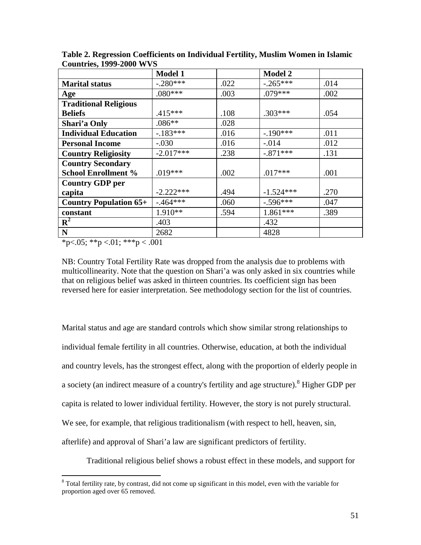|                               | <b>Model 1</b> |      | <b>Model 2</b> |      |
|-------------------------------|----------------|------|----------------|------|
| <b>Marital status</b>         | $-.280***$     | .022 | $-.265***$     | .014 |
| Age                           | $.080***$      | .003 | $.079***$      | .002 |
| <b>Traditional Religious</b>  |                |      |                |      |
| <b>Beliefs</b>                | $.415***$      | .108 | $.303***$      | .054 |
| Shari'a Only                  | $.086**$       | .028 |                |      |
| <b>Individual Education</b>   | $-183***$      | .016 | $-190***$      | .011 |
| <b>Personal Income</b>        | $-.030$        | .016 | $-.014$        | .012 |
| <b>Country Religiosity</b>    | $-2.017***$    | .238 | $-.871***$     | .131 |
| <b>Country Secondary</b>      |                |      |                |      |
| <b>School Enrollment %</b>    | $.019***$      | .002 | $.017***$      | .001 |
| <b>Country GDP per</b>        |                |      |                |      |
| capita                        | $-2.222***$    | .494 | $-1.524***$    | .270 |
| <b>Country Population 65+</b> | $-.464***$     | .060 | $-.596***$     | .047 |
| constant                      | $1.910**$      | .594 | $1.861***$     | .389 |
| $\mathbf{R}^2$                | .403           |      | .432           |      |
| N                             | 2682           |      | 4828           |      |

**Table 2. Regression Coefficients on Individual Fertility, Muslim Women in Islamic Countries, 1999-2000 WVS**

 $*p<.05$ ;  $*p<.01$ ;  $***p<.001$ 

NB: Country Total Fertility Rate was dropped from the analysis due to problems with multicollinearity. Note that the question on Shari'a was only asked in six countries while that on religious belief was asked in thirteen countries. Its coefficient sign has been reversed here for easier interpretation. See methodology section for the list of countries.

Marital status and age are standard controls which show similar strong relationships to individual female fertility in all countries. Otherwise, education, at both the individual and country levels, has the strongest effect, along with the proportion of elderly people in a society (an indirect measure of a country's fertility and age structure). <sup>8</sup> Higher GDP per capita is related to lower individual fertility. However, the story is not purely structural. We see, for example, that religious traditionalism (with respect to hell, heaven, sin, afterlife) and approval of Shari'a law are significant predictors of fertility.

Traditional religious belief shows a robust effect in these models, and support for

<sup>&</sup>lt;sup>8</sup> Total fertility rate, by contrast, did not come up significant in this model, even with the variable for proportion aged over 65 removed.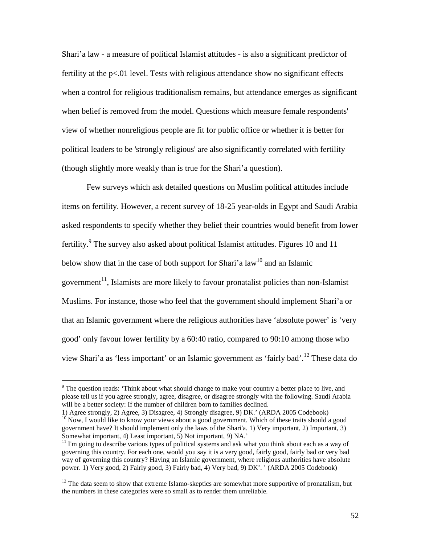Shari'a law - a measure of political Islamist attitudes - is also a significant predictor of fertility at the p<.01 level. Tests with religious attendance show no significant effects when a control for religious traditionalism remains, but attendance emerges as significant when belief is removed from the model. Questions which measure female respondents' view of whether nonreligious people are fit for public office or whether it is better for political leaders to be 'strongly religious' are also significantly correlated with fertility (though slightly more weakly than is true for the Shari'a question).

 Few surveys which ask detailed questions on Muslim political attitudes include items on fertility. However, a recent survey of 18-25 year-olds in Egypt and Saudi Arabia asked respondents to specify whether they belief their countries would benefit from lower fertility.<sup>9</sup> The survey also asked about political Islamist attitudes. Figures 10 and 11 below show that in the case of both support for Shari'a law<sup>10</sup> and an Islamic government<sup>11</sup>, Islamists are more likely to favour pronatalist policies than non-Islamist Muslims. For instance, those who feel that the government should implement Shari'a or that an Islamic government where the religious authorities have 'absolute power' is 'very good' only favour lower fertility by a 60:40 ratio, compared to 90:10 among those who view Shari'a as 'less important' or an Islamic government as 'fairly bad'.<sup>12</sup> These data do

The question reads: 'Think about what should change to make your country a better place to live, and <sup>9</sup> please tell us if you agree strongly, agree, disagree, or disagree strongly with the following. Saudi Arabia will be a better society: If the number of children born to families declined.

<sup>1)</sup> Agree strongly, 2) Agree, 3) Disagree, 4) Strongly disagree, 9) DK.' (ARDA 2005 Codebook)

<sup>&</sup>lt;sup>10</sup> Now, I would like to know your views about a good government. Which of these traits should a good government have? It should implement only the laws of the Shari'a. 1) Very important, 2) Important, 3) Somewhat important, 4) Least important, 5) Not important, 9) NA.'

 $11$  I'm going to describe various types of political systems and ask what you think about each as a way of governing this country. For each one, would you say it is a very good, fairly good, fairly bad or very bad way of governing this country? Having an Islamic government, where religious authorities have absolute power. 1) Very good, 2) Fairly good, 3) Fairly bad, 4) Very bad, 9) DK'. ' (ARDA 2005 Codebook)

 $12$  The data seem to show that extreme Islamo-skeptics are somewhat more supportive of pronatalism, but the numbers in these categories were so small as to render them unreliable.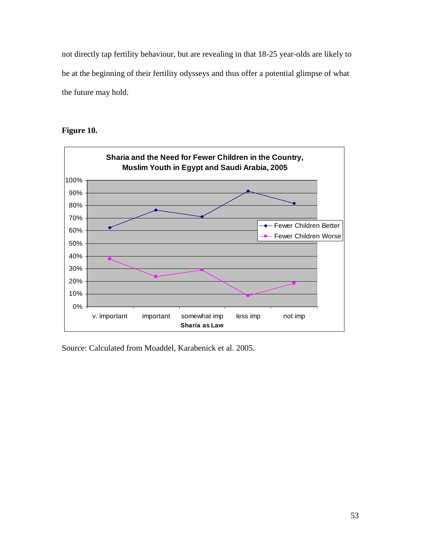not directly tap fertility behaviour, but are revealing in that 18-25 year-olds are likely to be at the beginning of their fertility odysseys and thus offer a potential glimpse of what the future may hold.

**Figure 10.** 



Source: Calculated from Moaddel, Karabenick et al. 2005.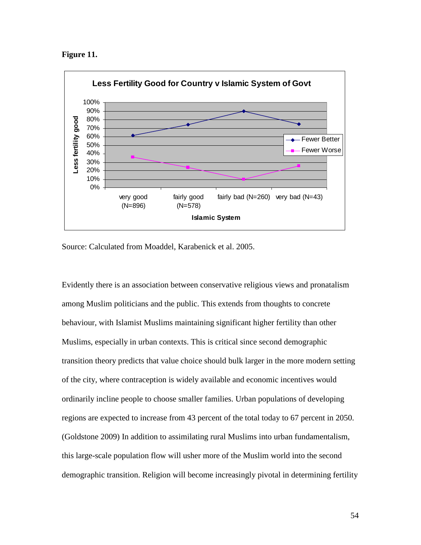



Source: Calculated from Moaddel, Karabenick et al. 2005.

Evidently there is an association between conservative religious views and pronatalism among Muslim politicians and the public. This extends from thoughts to concrete behaviour, with Islamist Muslims maintaining significant higher fertility than other Muslims, especially in urban contexts. This is critical since second demographic transition theory predicts that value choice should bulk larger in the more modern setting of the city, where contraception is widely available and economic incentives would ordinarily incline people to choose smaller families. Urban populations of developing regions are expected to increase from 43 percent of the total today to 67 percent in 2050. (Goldstone 2009) In addition to assimilating rural Muslims into urban fundamentalism, this large-scale population flow will usher more of the Muslim world into the second demographic transition. Religion will become increasingly pivotal in determining fertility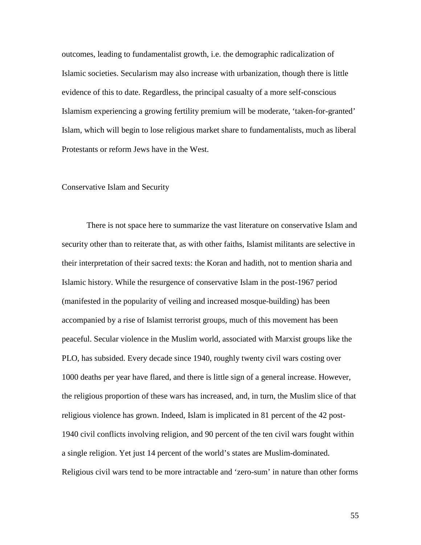outcomes, leading to fundamentalist growth, i.e. the demographic radicalization of Islamic societies. Secularism may also increase with urbanization, though there is little evidence of this to date. Regardless, the principal casualty of a more self-conscious Islamism experiencing a growing fertility premium will be moderate, 'taken-for-granted' Islam, which will begin to lose religious market share to fundamentalists, much as liberal Protestants or reform Jews have in the West.

#### Conservative Islam and Security

 There is not space here to summarize the vast literature on conservative Islam and security other than to reiterate that, as with other faiths, Islamist militants are selective in their interpretation of their sacred texts: the Koran and hadith, not to mention sharia and Islamic history. While the resurgence of conservative Islam in the post-1967 period (manifested in the popularity of veiling and increased mosque-building) has been accompanied by a rise of Islamist terrorist groups, much of this movement has been peaceful. Secular violence in the Muslim world, associated with Marxist groups like the PLO, has subsided. Every decade since 1940, roughly twenty civil wars costing over 1000 deaths per year have flared, and there is little sign of a general increase. However, the religious proportion of these wars has increased, and, in turn, the Muslim slice of that religious violence has grown. Indeed, Islam is implicated in 81 percent of the 42 post-1940 civil conflicts involving religion, and 90 percent of the ten civil wars fought within a single religion. Yet just 14 percent of the world's states are Muslim-dominated. Religious civil wars tend to be more intractable and 'zero-sum' in nature than other forms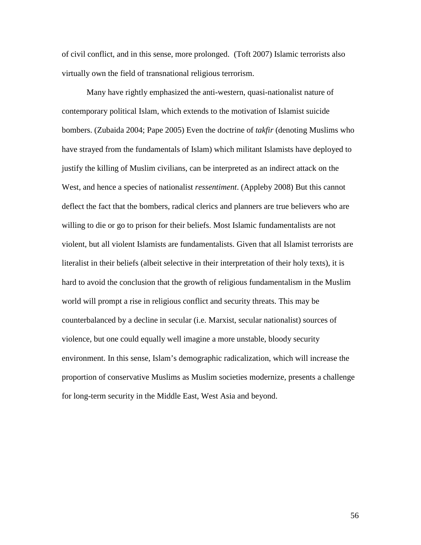of civil conflict, and in this sense, more prolonged. (Toft 2007) Islamic terrorists also virtually own the field of transnational religious terrorism.

Many have rightly emphasized the anti-western, quasi-nationalist nature of contemporary political Islam, which extends to the motivation of Islamist suicide bombers. (Zubaida 2004; Pape 2005) Even the doctrine of *takfir* (denoting Muslims who have strayed from the fundamentals of Islam) which militant Islamists have deployed to justify the killing of Muslim civilians, can be interpreted as an indirect attack on the West, and hence a species of nationalist *ressentiment*. (Appleby 2008) But this cannot deflect the fact that the bombers, radical clerics and planners are true believers who are willing to die or go to prison for their beliefs. Most Islamic fundamentalists are not violent, but all violent Islamists are fundamentalists. Given that all Islamist terrorists are literalist in their beliefs (albeit selective in their interpretation of their holy texts), it is hard to avoid the conclusion that the growth of religious fundamentalism in the Muslim world will prompt a rise in religious conflict and security threats. This may be counterbalanced by a decline in secular (i.e. Marxist, secular nationalist) sources of violence, but one could equally well imagine a more unstable, bloody security environment. In this sense, Islam's demographic radicalization, which will increase the proportion of conservative Muslims as Muslim societies modernize, presents a challenge for long-term security in the Middle East, West Asia and beyond.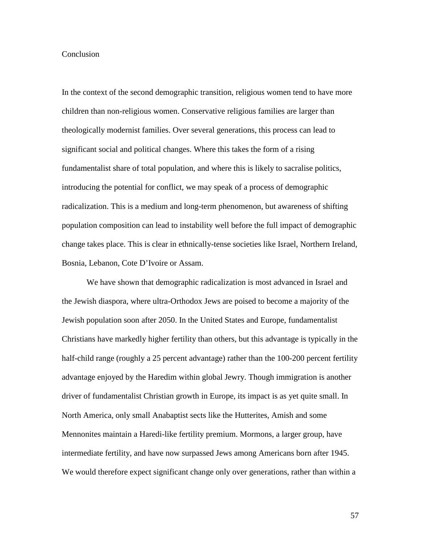#### **Conclusion**

In the context of the second demographic transition, religious women tend to have more children than non-religious women. Conservative religious families are larger than theologically modernist families. Over several generations, this process can lead to significant social and political changes. Where this takes the form of a rising fundamentalist share of total population, and where this is likely to sacralise politics, introducing the potential for conflict, we may speak of a process of demographic radicalization. This is a medium and long-term phenomenon, but awareness of shifting population composition can lead to instability well before the full impact of demographic change takes place. This is clear in ethnically-tense societies like Israel, Northern Ireland, Bosnia, Lebanon, Cote D'Ivoire or Assam.

 We have shown that demographic radicalization is most advanced in Israel and the Jewish diaspora, where ultra-Orthodox Jews are poised to become a majority of the Jewish population soon after 2050. In the United States and Europe, fundamentalist Christians have markedly higher fertility than others, but this advantage is typically in the half-child range (roughly a 25 percent advantage) rather than the 100-200 percent fertility advantage enjoyed by the Haredim within global Jewry. Though immigration is another driver of fundamentalist Christian growth in Europe, its impact is as yet quite small. In North America, only small Anabaptist sects like the Hutterites, Amish and some Mennonites maintain a Haredi-like fertility premium. Mormons, a larger group, have intermediate fertility, and have now surpassed Jews among Americans born after 1945. We would therefore expect significant change only over generations, rather than within a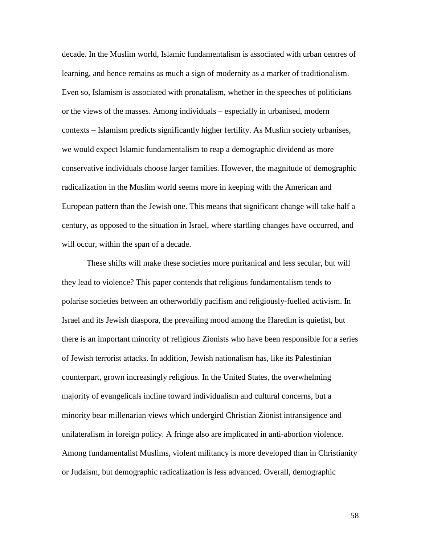decade. In the Muslim world, Islamic fundamentalism is associated with urban centres of learning, and hence remains as much a sign of modernity as a marker of traditionalism. Even so, Islamism is associated with pronatalism, whether in the speeches of politicians or the views of the masses. Among individuals – especially in urbanised, modern contexts – Islamism predicts significantly higher fertility. As Muslim society urbanises, we would expect Islamic fundamentalism to reap a demographic dividend as more conservative individuals choose larger families. However, the magnitude of demographic radicalization in the Muslim world seems more in keeping with the American and European pattern than the Jewish one. This means that significant change will take half a century, as opposed to the situation in Israel, where startling changes have occurred, and will occur, within the span of a decade.

 These shifts will make these societies more puritanical and less secular, but will they lead to violence? This paper contends that religious fundamentalism tends to polarise societies between an otherworldly pacifism and religiously-fuelled activism. In Israel and its Jewish diaspora, the prevailing mood among the Haredim is quietist, but there is an important minority of religious Zionists who have been responsible for a series of Jewish terrorist attacks. In addition, Jewish nationalism has, like its Palestinian counterpart, grown increasingly religious. In the United States, the overwhelming majority of evangelicals incline toward individualism and cultural concerns, but a minority bear millenarian views which undergird Christian Zionist intransigence and unilateralism in foreign policy. A fringe also are implicated in anti-abortion violence. Among fundamentalist Muslims, violent militancy is more developed than in Christianity or Judaism, but demographic radicalization is less advanced. Overall, demographic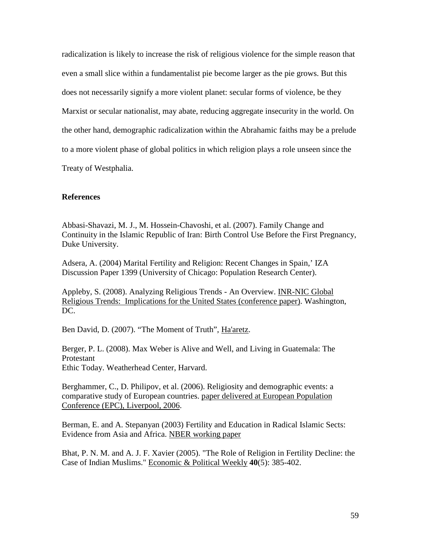radicalization is likely to increase the risk of religious violence for the simple reason that even a small slice within a fundamentalist pie become larger as the pie grows. But this does not necessarily signify a more violent planet: secular forms of violence, be they Marxist or secular nationalist, may abate, reducing aggregate insecurity in the world. On the other hand, demographic radicalization within the Abrahamic faiths may be a prelude to a more violent phase of global politics in which religion plays a role unseen since the Treaty of Westphalia.

## **References**

Abbasi-Shavazi, M. J., M. Hossein-Chavoshi, et al. (2007). Family Change and Continuity in the Islamic Republic of Iran: Birth Control Use Before the First Pregnancy, Duke University.

Adsera, A. (2004) Marital Fertility and Religion: Recent Changes in Spain,' IZA Discussion Paper 1399 (University of Chicago: Population Research Center).

Appleby, S. (2008). Analyzing Religious Trends - An Overview. INR-NIC Global Religious Trends: Implications for the United States (conference paper). Washington, DC.

Ben David, D. (2007). "The Moment of Truth", Ha'aretz.

Berger, P. L. (2008). Max Weber is Alive and Well, and Living in Guatemala: The Protestant Ethic Today. Weatherhead Center, Harvard.

Berghammer, C., D. Philipov, et al. (2006). Religiosity and demographic events: a comparative study of European countries. paper delivered at European Population Conference (EPC), Liverpool, 2006.

Berman, E. and A. Stepanyan (2003) Fertility and Education in Radical Islamic Sects: Evidence from Asia and Africa. NBER working paper

Bhat, P. N. M. and A. J. F. Xavier (2005). "The Role of Religion in Fertility Decline: the Case of Indian Muslims." Economic & Political Weekly **40**(5): 385-402.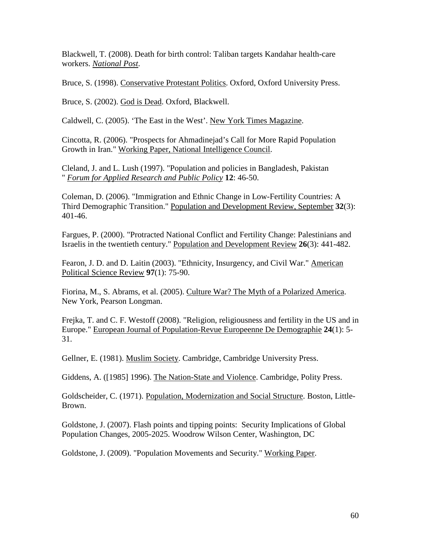Blackwell, T. (2008). Death for birth control: Taliban targets Kandahar health-care workers. *National Post*.

Bruce, S. (1998). Conservative Protestant Politics. Oxford, Oxford University Press.

Bruce, S. (2002). God is Dead. Oxford, Blackwell.

Caldwell, C. (2005). 'The East in the West'. New York Times Magazine.

Cincotta, R. (2006). "Prospects for Ahmadinejad's Call for More Rapid Population Growth in Iran." Working Paper, National Intelligence Council.

Cleland, J. and L. Lush (1997). "Population and policies in Bangladesh, Pakistan " *Forum for Applied Research and Public Policy* **12**: 46-50.

Coleman, D. (2006). "Immigration and Ethnic Change in Low-Fertility Countries: A Third Demographic Transition." Population and Development Review, September **32**(3): 401-46.

Fargues, P. (2000). "Protracted National Conflict and Fertility Change: Palestinians and Israelis in the twentieth century." Population and Development Review **26**(3): 441-482.

Fearon, J. D. and D. Laitin (2003). "Ethnicity, Insurgency, and Civil War." American Political Science Review **97**(1): 75-90.

Fiorina, M., S. Abrams, et al. (2005). Culture War? The Myth of a Polarized America. New York, Pearson Longman.

Frejka, T. and C. F. Westoff (2008). "Religion, religiousness and fertility in the US and in Europe." European Journal of Population-Revue Europeenne De Demographie **24**(1): 5- 31.

Gellner, E. (1981). Muslim Society. Cambridge, Cambridge University Press.

Giddens, A. ([1985] 1996). The Nation-State and Violence. Cambridge, Polity Press.

Goldscheider, C. (1971). Population, Modernization and Social Structure. Boston, Little-Brown.

Goldstone, J. (2007). Flash points and tipping points: Security Implications of Global Population Changes, 2005-2025. Woodrow Wilson Center, Washington, DC

Goldstone, J. (2009). "Population Movements and Security." Working Paper.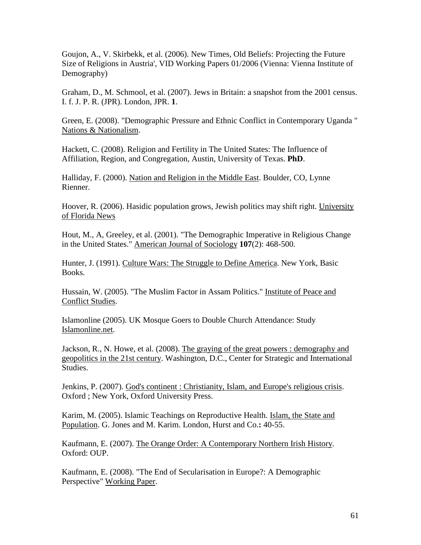Goujon, A., V. Skirbekk, et al. (2006). New Times, Old Beliefs: Projecting the Future Size of Religions in Austria', VID Working Papers 01/2006 (Vienna: Vienna Institute of Demography)

Graham, D., M. Schmool, et al. (2007). Jews in Britain: a snapshot from the 2001 census. I. f. J. P. R. (JPR). London, JPR. **1**.

Green, E. (2008). "Demographic Pressure and Ethnic Conflict in Contemporary Uganda " Nations & Nationalism.

Hackett, C. (2008). Religion and Fertility in The United States: The Influence of Affiliation, Region, and Congregation, Austin, University of Texas. **PhD**.

Halliday, F. (2000). Nation and Religion in the Middle East. Boulder, CO, Lynne Rienner.

Hoover, R. (2006). Hasidic population grows, Jewish politics may shift right. University of Florida News

Hout, M., A, Greeley, et al. (2001). "The Demographic Imperative in Religious Change in the United States." American Journal of Sociology **107**(2): 468-500.

Hunter, J. (1991). Culture Wars: The Struggle to Define America. New York, Basic Books.

Hussain, W. (2005). "The Muslim Factor in Assam Politics." Institute of Peace and Conflict Studies.

Islamonline (2005). UK Mosque Goers to Double Church Attendance: Study Islamonline.net.

Jackson, R., N. Howe, et al. (2008). The graying of the great powers : demography and geopolitics in the 21st century. Washington, D.C., Center for Strategic and International Studies.

Jenkins, P. (2007). God's continent : Christianity, Islam, and Europe's religious crisis. Oxford ; New York, Oxford University Press.

Karim, M. (2005). Islamic Teachings on Reproductive Health. Islam, the State and Population. G. Jones and M. Karim. London, Hurst and Co.**:** 40-55.

Kaufmann, E. (2007). The Orange Order: A Contemporary Northern Irish History. Oxford: OUP.

Kaufmann, E. (2008). "The End of Secularisation in Europe?: A Demographic Perspective" Working Paper.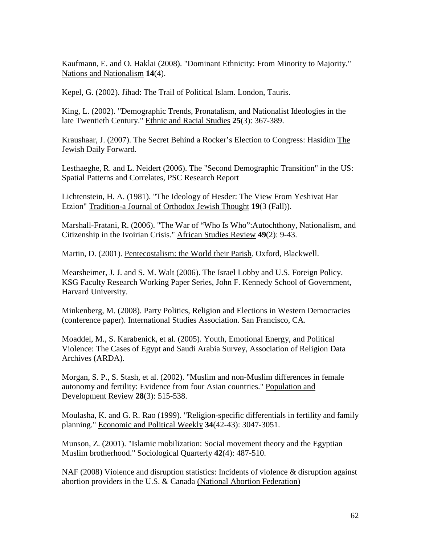Kaufmann, E. and O. Haklai (2008). "Dominant Ethnicity: From Minority to Majority." Nations and Nationalism **14**(4).

Kepel, G. (2002). Jihad: The Trail of Political Islam. London, Tauris.

King, L. (2002). "Demographic Trends, Pronatalism, and Nationalist Ideologies in the late Twentieth Century." Ethnic and Racial Studies **25**(3): 367-389.

Kraushaar, J. (2007). The Secret Behind a Rocker's Election to Congress: Hasidim The Jewish Daily Forward.

Lesthaeghe, R. and L. Neidert (2006). The "Second Demographic Transition" in the US: Spatial Patterns and Correlates, PSC Research Report

Lichtenstein, H. A. (1981). "The Ideology of Hesder: The View From Yeshivat Har Etzion" Tradition-a Journal of Orthodox Jewish Thought **19**(3 (Fall)).

Marshall-Fratani, R. (2006). "The War of "Who Is Who":Autochthony, Nationalism, and Citizenship in the Ivoirian Crisis." African Studies Review **49**(2): 9-43.

Martin, D. (2001). Pentecostalism: the World their Parish. Oxford, Blackwell.

Mearsheimer, J. J. and S. M. Walt (2006). The Israel Lobby and U.S. Foreign Policy. KSG Faculty Research Working Paper Series, John F. Kennedy School of Government, Harvard University.

Minkenberg, M. (2008). Party Politics, Religion and Elections in Western Democracies (conference paper). International Studies Association. San Francisco, CA.

Moaddel, M., S. Karabenick, et al. (2005). Youth, Emotional Energy, and Political Violence: The Cases of Egypt and Saudi Arabia Survey, Association of Religion Data Archives (ARDA).

Morgan, S. P., S. Stash, et al. (2002). "Muslim and non-Muslim differences in female autonomy and fertility: Evidence from four Asian countries." Population and Development Review **28**(3): 515-538.

Moulasha, K. and G. R. Rao (1999). "Religion-specific differentials in fertility and family planning." Economic and Political Weekly **34**(42-43): 3047-3051.

Munson, Z. (2001). "Islamic mobilization: Social movement theory and the Egyptian Muslim brotherhood." Sociological Quarterly **42**(4): 487-510.

NAF (2008) Violence and disruption statistics: Incidents of violence & disruption against abortion providers in the U.S. & Canada (National Abortion Federation)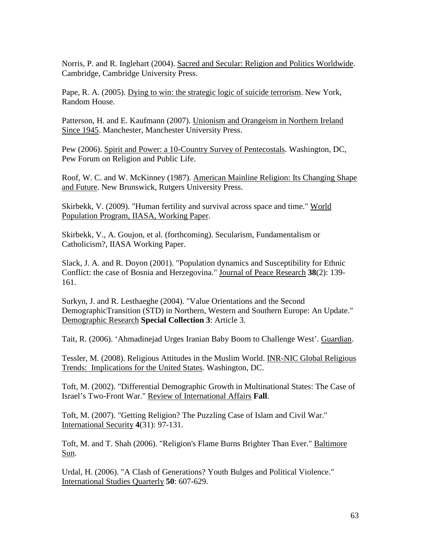Norris, P. and R. Inglehart (2004). Sacred and Secular: Religion and Politics Worldwide. Cambridge, Cambridge University Press.

Pape, R. A. (2005). Dying to win: the strategic logic of suicide terrorism. New York, Random House.

Patterson, H. and E. Kaufmann (2007). Unionism and Orangeism in Northern Ireland Since 1945. Manchester, Manchester University Press.

Pew (2006). Spirit and Power: a 10-Country Survey of Pentecostals. Washington, DC, Pew Forum on Religion and Public Life.

Roof, W. C. and W. McKinney (1987). American Mainline Religion: Its Changing Shape and Future. New Brunswick, Rutgers University Press.

Skirbekk, V. (2009). "Human fertility and survival across space and time." World Population Program, IIASA, Working Paper.

Skirbekk, V., A. Goujon, et al. (forthcoming). Secularism, Fundamentalism or Catholicism?, IIASA Working Paper.

Slack, J. A. and R. Doyon (2001). "Population dynamics and Susceptibility for Ethnic Conflict: the case of Bosnia and Herzegovina." Journal of Peace Research **38**(2): 139- 161.

Surkyn, J. and R. Lesthaeghe (2004). "Value Orientations and the Second DemographicTransition (STD) in Northern, Western and Southern Europe: An Update." Demographic Research **Special Collection 3**: Article 3.

Tait, R. (2006). 'Ahmadinejad Urges Iranian Baby Boom to Challenge West'. Guardian.

Tessler, M. (2008). Religious Attitudes in the Muslim World. INR-NIC Global Religious Trends: Implications for the United States. Washington, DC.

Toft, M. (2002). "Differential Demographic Growth in Multinational States: The Case of Israel's Two-Front War." Review of International Affairs **Fall**.

Toft, M. (2007). "Getting Religion? The Puzzling Case of Islam and Civil War." International Security **4**(31): 97-131.

Toft, M. and T. Shah (2006). "Religion's Flame Burns Brighter Than Ever." Baltimore Sun.

Urdal, H. (2006). "A Clash of Generations? Youth Bulges and Political Violence." International Studies Quarterly **50**: 607-629.